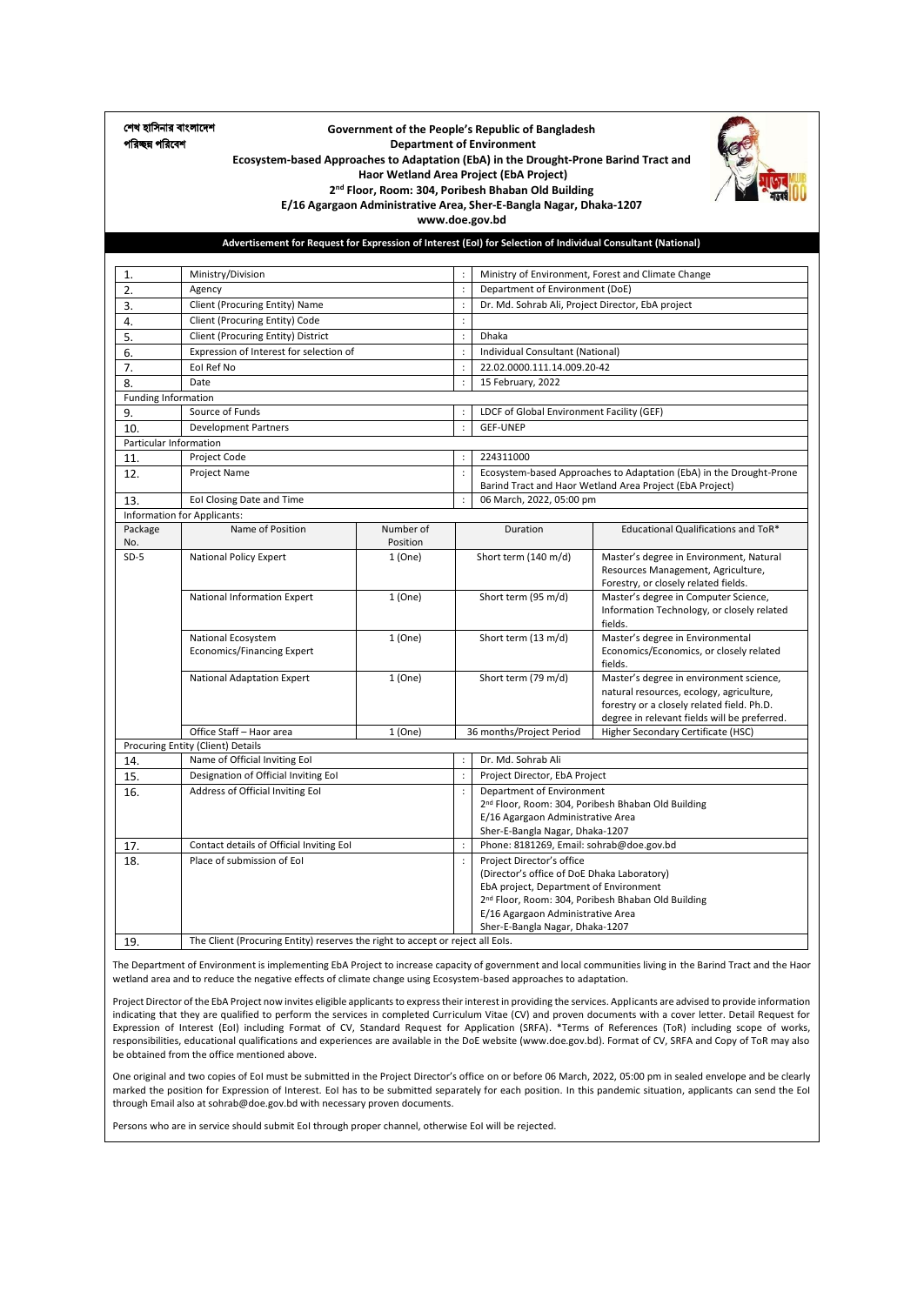শেখ হাসিনার বাাংলাদেে পরিচ্ছন্ন পরিবেশ

#### **Government of the People's Republic of Bangladesh Department of Environment Ecosystem-based Approaches to Adaptation (EbA) in the Drought-Prone Barind Tract and Haor Wetland Area Project (EbA Project) 2 nd Floor, Room: 304, Poribesh Bhaban Old Building**



**E/16 Agargaon Administrative Area, Sher-E-Bangla Nagar, Dhaka-1207 www.doe.gov.bd**

**Advertisement for Request for Expression of Interest (EoI) for Selection of Individual Consultant (National)**

| 1.                         | Ministry/Division                                                              |           | $\ddot{\cdot}$       |                                                   | Ministry of Environment, Forest and Climate Change                                         |  |
|----------------------------|--------------------------------------------------------------------------------|-----------|----------------------|---------------------------------------------------|--------------------------------------------------------------------------------------------|--|
| 2.                         | Agency                                                                         |           | $\ddot{\cdot}$       | Department of Environment (DoE)                   |                                                                                            |  |
| 3.                         | Client (Procuring Entity) Name                                                 |           | $\ddot{\cdot}$       | Dr. Md. Sohrab Ali, Project Director, EbA project |                                                                                            |  |
| 4.                         | Client (Procuring Entity) Code                                                 |           | $\ddot{\cdot}$       |                                                   |                                                                                            |  |
| 5.                         | Client (Procuring Entity) District                                             |           | $\ddot{\cdot}$       | <b>Dhaka</b>                                      |                                                                                            |  |
| 6.                         | Expression of Interest for selection of                                        |           | $\ddot{\phantom{a}}$ | Individual Consultant (National)                  |                                                                                            |  |
| 7.                         | Eol Ref No                                                                     |           | $\ddot{\cdot}$       | 22.02.0000.111.14.009.20-42                       |                                                                                            |  |
| 8.                         | Date                                                                           |           | $\ddot{\cdot}$       | 15 February, 2022                                 |                                                                                            |  |
| <b>Funding Information</b> |                                                                                |           |                      |                                                   |                                                                                            |  |
| 9.                         | Source of Funds                                                                |           | $\ddot{\phantom{a}}$ | LDCF of Global Environment Facility (GEF)         |                                                                                            |  |
| 10.                        | <b>Development Partners</b>                                                    |           | $\ddot{\phantom{a}}$ | <b>GEF-UNEP</b>                                   |                                                                                            |  |
| Particular Information     |                                                                                |           |                      |                                                   |                                                                                            |  |
| 11.                        | Project Code                                                                   |           | $\ddot{\phantom{a}}$ | 224311000                                         |                                                                                            |  |
| 12.                        | Project Name                                                                   |           | $\ddot{\phantom{a}}$ |                                                   | Ecosystem-based Approaches to Adaptation (EbA) in the Drought-Prone                        |  |
|                            |                                                                                |           |                      |                                                   | Barind Tract and Haor Wetland Area Project (EbA Project)                                   |  |
| 13.                        | Eol Closing Date and Time                                                      |           | $\cdot$              | 06 March, 2022, 05:00 pm                          |                                                                                            |  |
|                            | Information for Applicants:                                                    |           |                      |                                                   |                                                                                            |  |
| Package                    | Name of Position                                                               | Number of |                      | Duration                                          | Educational Qualifications and ToR*                                                        |  |
| No.                        |                                                                                | Position  |                      |                                                   |                                                                                            |  |
| $SD-5$                     | <b>National Policy Expert</b>                                                  | 1(One)    |                      | Short term (140 m/d)                              | Master's degree in Environment, Natural                                                    |  |
|                            |                                                                                |           |                      |                                                   | Resources Management, Agriculture,                                                         |  |
|                            | National Information Expert                                                    | 1(One)    |                      | Short term (95 m/d)                               | Forestry, or closely related fields.<br>Master's degree in Computer Science,               |  |
|                            |                                                                                |           |                      |                                                   | Information Technology, or closely related                                                 |  |
|                            |                                                                                |           |                      |                                                   | fields.                                                                                    |  |
|                            | National Ecosystem                                                             | 1(One)    |                      | Short term (13 m/d)                               | Master's degree in Environmental                                                           |  |
|                            | <b>Economics/Financing Expert</b>                                              |           |                      |                                                   | Economics/Economics, or closely related                                                    |  |
|                            |                                                                                |           |                      |                                                   | fields.                                                                                    |  |
|                            | National Adaptation Expert                                                     | 1(One)    |                      | Short term (79 m/d)                               | Master's degree in environment science,                                                    |  |
|                            |                                                                                |           |                      |                                                   | natural resources, ecology, agriculture,                                                   |  |
|                            |                                                                                |           |                      |                                                   | forestry or a closely related field. Ph.D.<br>degree in relevant fields will be preferred. |  |
|                            | Office Staff - Haor area                                                       | 1 (One)   |                      | 36 months/Project Period                          | Higher Secondary Certificate (HSC)                                                         |  |
|                            | Procuring Entity (Client) Details                                              |           |                      |                                                   |                                                                                            |  |
| 14.                        | Name of Official Inviting Eol                                                  |           | $\ddot{\phantom{a}}$ | Dr. Md. Sohrab Ali                                |                                                                                            |  |
| 15.                        | Designation of Official Inviting Eol                                           |           | $\ddot{\phantom{a}}$ | Project Director, EbA Project                     |                                                                                            |  |
| 16.                        | Address of Official Inviting Eol                                               |           | $\ddot{\phantom{a}}$ | Department of Environment                         |                                                                                            |  |
|                            |                                                                                |           |                      |                                                   | 2 <sup>nd</sup> Floor, Room: 304, Poribesh Bhaban Old Building                             |  |
|                            |                                                                                |           |                      | E/16 Agargaon Administrative Area                 |                                                                                            |  |
|                            |                                                                                |           |                      | Sher-E-Bangla Nagar, Dhaka-1207                   |                                                                                            |  |
| 17.                        | Contact details of Official Inviting EoI                                       |           | $\ddot{\phantom{a}}$ | Phone: 8181269, Email: sohrab@doe.gov.bd          |                                                                                            |  |
| 18.                        | Place of submission of Eol                                                     |           |                      | Project Director's office                         |                                                                                            |  |
|                            |                                                                                |           |                      | (Director's office of DoE Dhaka Laboratory)       |                                                                                            |  |
|                            |                                                                                |           |                      | EbA project, Department of Environment            | 2 <sup>nd</sup> Floor, Room: 304, Poribesh Bhaban Old Building                             |  |
|                            |                                                                                |           |                      | E/16 Agargaon Administrative Area                 |                                                                                            |  |
|                            |                                                                                |           |                      | Sher-E-Bangla Nagar, Dhaka-1207                   |                                                                                            |  |
| 19.                        | The Client (Procuring Entity) reserves the right to accept or reject all EoIs. |           |                      |                                                   |                                                                                            |  |

The Department of Environment is implementing EbA Project to increase capacity of government and local communities living in the Barind Tract and the Haor wetland area and to reduce the negative effects of climate change using Ecosystem-based approaches to adaptation.

Project Director of the EbA Project now invites eligible applicants to express their interest in providing the services. Applicants are advised to provide information indicating that they are qualified to perform the services in completed Curriculum Vitae (CV) and proven documents with a cover letter. Detail Request for Expression of Interest (EoI) including Format of CV, Standard Request for Application (SRFA). \*Terms of References (ToR) including scope of works, responsibilities, educational qualifications and experiences are available in the DoE website (www.doe.gov.bd). Format of CV, SRFA and Copy of ToR may also be obtained from the office mentioned above.

One original and two copies of EoI must be submitted in the Project Director's office on or before 06 March, 2022, 05:00 pm in sealed envelope and be clearly marked the position for Expression of Interest. EoI has to be submitted separately for each position. In this pandemic situation, applicants can send the EoI through Email also at sohrab@doe.gov.bd with necessary proven documents.

Persons who are in service should submit EoI through proper channel, otherwise EoI will be rejected.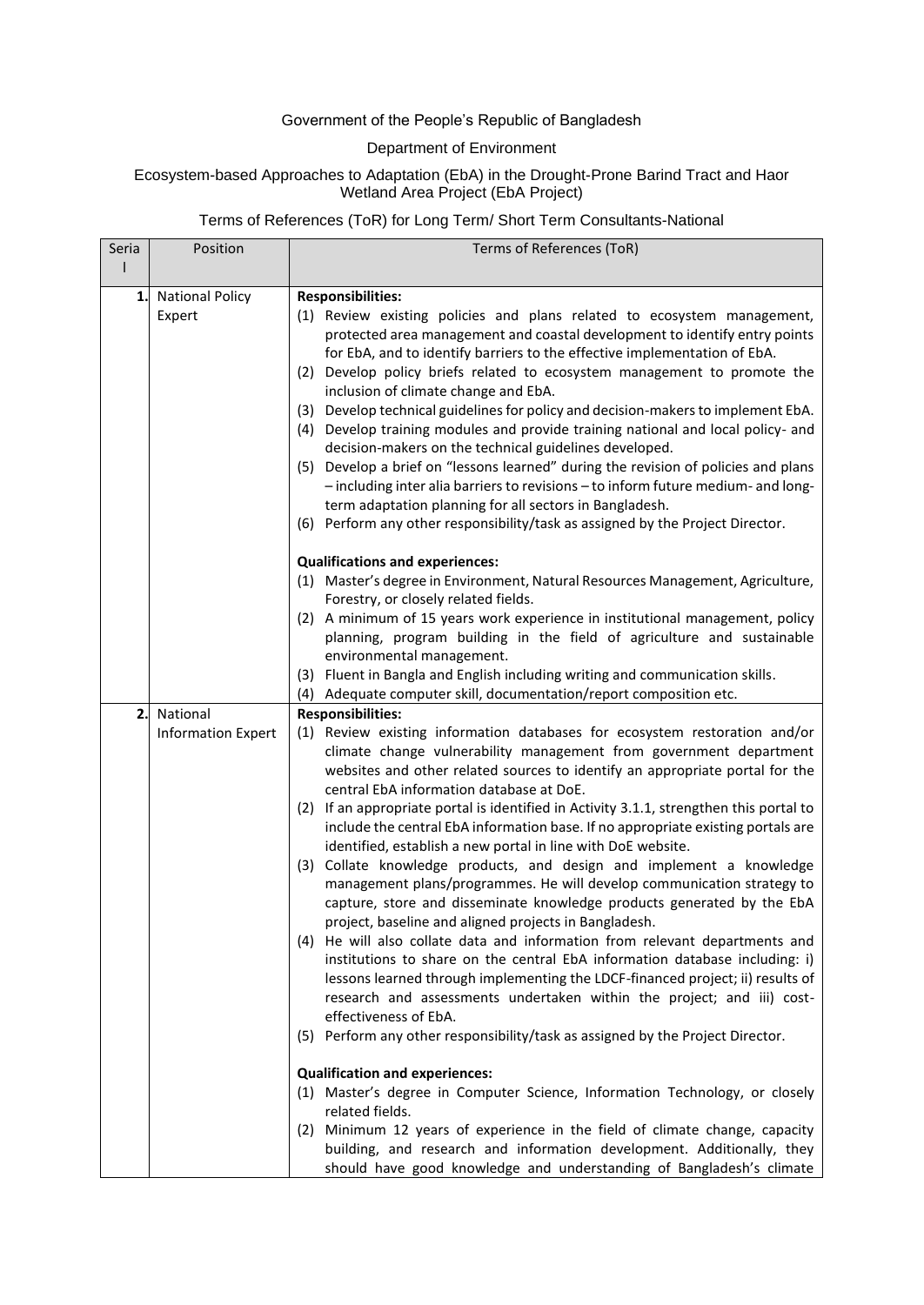### Government of the People's Republic of Bangladesh

### Department of Environment

### Ecosystem-based Approaches to Adaptation (EbA) in the Drought-Prone Barind Tract and Haor Wetland Area Project (EbA Project)

### Terms of References (ToR) for Long Term/ Short Term Consultants-National

| Seria | Position                  | Terms of References (ToR)                                                                                                                             |
|-------|---------------------------|-------------------------------------------------------------------------------------------------------------------------------------------------------|
|       |                           |                                                                                                                                                       |
| 1.    | <b>National Policy</b>    | <b>Responsibilities:</b>                                                                                                                              |
|       | Expert                    | (1) Review existing policies and plans related to ecosystem management,                                                                               |
|       |                           | protected area management and coastal development to identify entry points                                                                            |
|       |                           | for EbA, and to identify barriers to the effective implementation of EbA.<br>(2) Develop policy briefs related to ecosystem management to promote the |
|       |                           | inclusion of climate change and EbA.                                                                                                                  |
|       |                           | (3) Develop technical guidelines for policy and decision-makers to implement EbA.                                                                     |
|       |                           | (4) Develop training modules and provide training national and local policy- and<br>decision-makers on the technical guidelines developed.            |
|       |                           | (5) Develop a brief on "lessons learned" during the revision of policies and plans                                                                    |
|       |                           | - including inter alia barriers to revisions - to inform future medium- and long-                                                                     |
|       |                           | term adaptation planning for all sectors in Bangladesh.                                                                                               |
|       |                           | (6) Perform any other responsibility/task as assigned by the Project Director.                                                                        |
|       |                           | <b>Qualifications and experiences:</b>                                                                                                                |
|       |                           | (1) Master's degree in Environment, Natural Resources Management, Agriculture,                                                                        |
|       |                           | Forestry, or closely related fields.<br>(2) A minimum of 15 years work experience in institutional management, policy                                 |
|       |                           | planning, program building in the field of agriculture and sustainable                                                                                |
|       |                           | environmental management.                                                                                                                             |
|       |                           | (3) Fluent in Bangla and English including writing and communication skills.                                                                          |
|       |                           | (4) Adequate computer skill, documentation/report composition etc.                                                                                    |
| 2.    | National                  | <b>Responsibilities:</b>                                                                                                                              |
|       | <b>Information Expert</b> | (1) Review existing information databases for ecosystem restoration and/or<br>climate change vulnerability management from government department      |
|       |                           | websites and other related sources to identify an appropriate portal for the                                                                          |
|       |                           | central EbA information database at DoE.                                                                                                              |
|       |                           | (2) If an appropriate portal is identified in Activity 3.1.1, strengthen this portal to                                                               |
|       |                           | include the central EbA information base. If no appropriate existing portals are                                                                      |
|       |                           | identified, establish a new portal in line with DoE website.<br>(3) Collate knowledge products, and design and implement a knowledge                  |
|       |                           | management plans/programmes. He will develop communication strategy to                                                                                |
|       |                           | capture, store and disseminate knowledge products generated by the EbA                                                                                |
|       |                           | project, baseline and aligned projects in Bangladesh.                                                                                                 |
|       |                           | (4) He will also collate data and information from relevant departments and                                                                           |
|       |                           | institutions to share on the central EbA information database including: i)                                                                           |
|       |                           | lessons learned through implementing the LDCF-financed project; ii) results of                                                                        |
|       |                           | research and assessments undertaken within the project; and iii) cost-<br>effectiveness of EbA.                                                       |
|       |                           | (5) Perform any other responsibility/task as assigned by the Project Director.                                                                        |
|       |                           |                                                                                                                                                       |
|       |                           | <b>Qualification and experiences:</b>                                                                                                                 |
|       |                           | (1) Master's degree in Computer Science, Information Technology, or closely<br>related fields.                                                        |
|       |                           | (2) Minimum 12 years of experience in the field of climate change, capacity                                                                           |
|       |                           | building, and research and information development. Additionally, they                                                                                |
|       |                           | should have good knowledge and understanding of Bangladesh's climate                                                                                  |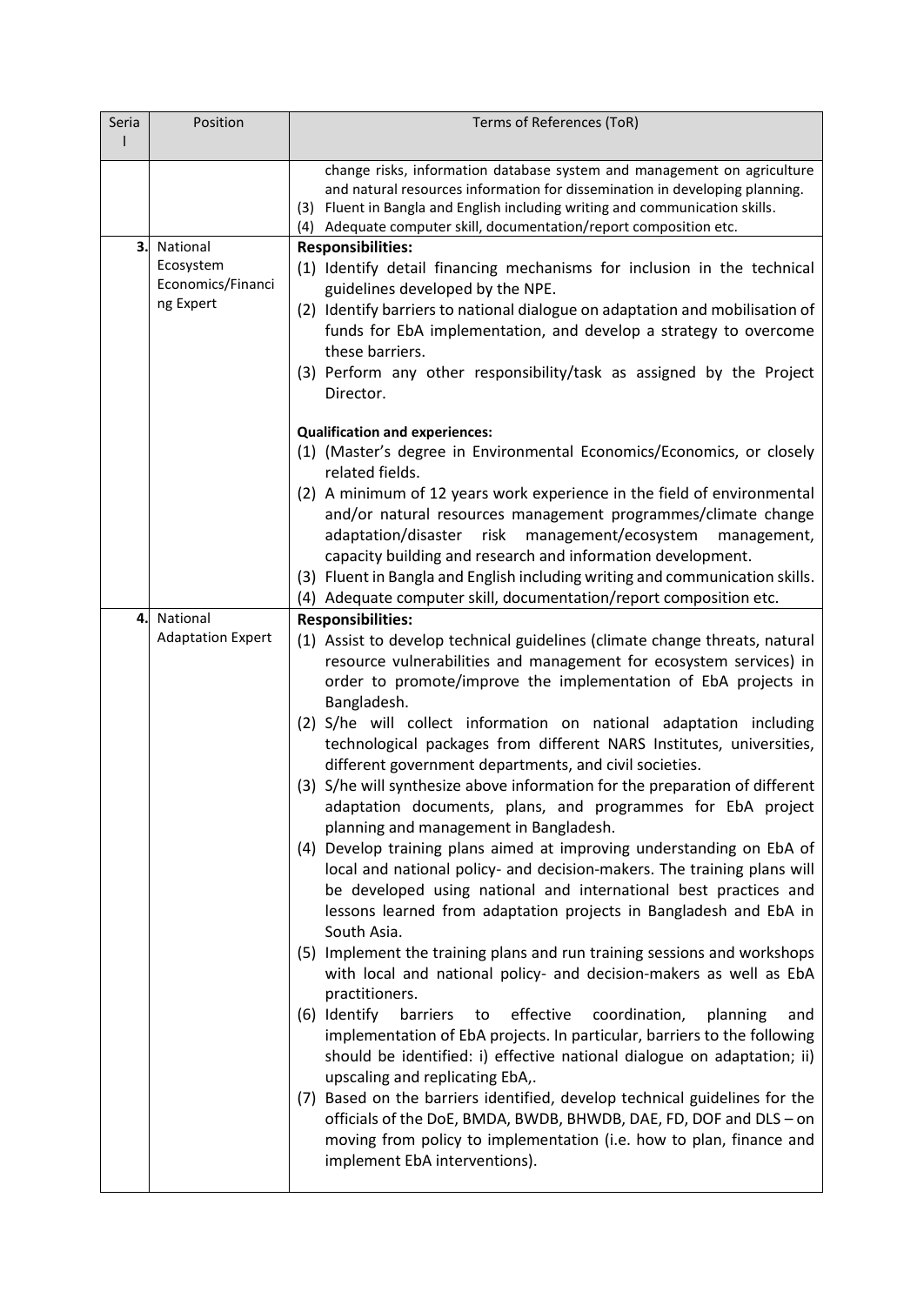| Seria | Position                 | Terms of References (ToR)                                                                                                                                                                                                                                                                                    |
|-------|--------------------------|--------------------------------------------------------------------------------------------------------------------------------------------------------------------------------------------------------------------------------------------------------------------------------------------------------------|
|       |                          |                                                                                                                                                                                                                                                                                                              |
|       |                          | change risks, information database system and management on agriculture<br>and natural resources information for dissemination in developing planning.<br>(3) Fluent in Bangla and English including writing and communication skills.<br>(4) Adequate computer skill, documentation/report composition etc. |
| 3.    | National                 | <b>Responsibilities:</b>                                                                                                                                                                                                                                                                                     |
|       | Ecosystem                | (1) Identify detail financing mechanisms for inclusion in the technical                                                                                                                                                                                                                                      |
|       | Economics/Financi        | guidelines developed by the NPE.                                                                                                                                                                                                                                                                             |
|       | ng Expert                | (2) Identify barriers to national dialogue on adaptation and mobilisation of                                                                                                                                                                                                                                 |
|       |                          | funds for EbA implementation, and develop a strategy to overcome                                                                                                                                                                                                                                             |
|       |                          | these barriers.                                                                                                                                                                                                                                                                                              |
|       |                          | (3) Perform any other responsibility/task as assigned by the Project<br>Director.                                                                                                                                                                                                                            |
|       |                          | <b>Qualification and experiences:</b>                                                                                                                                                                                                                                                                        |
|       |                          | (1) (Master's degree in Environmental Economics/Economics, or closely                                                                                                                                                                                                                                        |
|       |                          | related fields.                                                                                                                                                                                                                                                                                              |
|       |                          | (2) A minimum of 12 years work experience in the field of environmental                                                                                                                                                                                                                                      |
|       |                          | and/or natural resources management programmes/climate change                                                                                                                                                                                                                                                |
|       |                          | adaptation/disaster risk<br>management/ecosystem<br>management,                                                                                                                                                                                                                                              |
|       |                          | capacity building and research and information development.                                                                                                                                                                                                                                                  |
|       |                          | (3) Fluent in Bangla and English including writing and communication skills.                                                                                                                                                                                                                                 |
|       |                          | (4) Adequate computer skill, documentation/report composition etc.                                                                                                                                                                                                                                           |
| 4.    | National                 | <b>Responsibilities:</b>                                                                                                                                                                                                                                                                                     |
|       | <b>Adaptation Expert</b> | (1) Assist to develop technical guidelines (climate change threats, natural<br>resource vulnerabilities and management for ecosystem services) in<br>order to promote/improve the implementation of EbA projects in<br>Bangladesh.                                                                           |
|       |                          | (2) S/he will collect information on national adaptation including<br>technological packages from different NARS Institutes, universities,<br>different government departments, and civil societies.                                                                                                         |
|       |                          | (3) S/he will synthesize above information for the preparation of different                                                                                                                                                                                                                                  |
|       |                          | adaptation documents, plans, and programmes for EbA project<br>planning and management in Bangladesh.                                                                                                                                                                                                        |
|       |                          | (4) Develop training plans aimed at improving understanding on EbA of                                                                                                                                                                                                                                        |
|       |                          | local and national policy- and decision-makers. The training plans will                                                                                                                                                                                                                                      |
|       |                          | be developed using national and international best practices and                                                                                                                                                                                                                                             |
|       |                          | lessons learned from adaptation projects in Bangladesh and EbA in<br>South Asia.                                                                                                                                                                                                                             |
|       |                          | (5) Implement the training plans and run training sessions and workshops                                                                                                                                                                                                                                     |
|       |                          | with local and national policy- and decision-makers as well as EbA                                                                                                                                                                                                                                           |
|       |                          | practitioners.                                                                                                                                                                                                                                                                                               |
|       |                          | (6) Identify<br>barriers<br>effective<br>coordination,<br>planning<br>to<br>and<br>implementation of EbA projects. In particular, barriers to the following                                                                                                                                                  |
|       |                          | should be identified: i) effective national dialogue on adaptation; ii)                                                                                                                                                                                                                                      |
|       |                          | upscaling and replicating EbA,.                                                                                                                                                                                                                                                                              |
|       |                          | (7) Based on the barriers identified, develop technical guidelines for the                                                                                                                                                                                                                                   |
|       |                          | officials of the DoE, BMDA, BWDB, BHWDB, DAE, FD, DOF and DLS - on                                                                                                                                                                                                                                           |
|       |                          | moving from policy to implementation (i.e. how to plan, finance and<br>implement EbA interventions).                                                                                                                                                                                                         |
|       |                          |                                                                                                                                                                                                                                                                                                              |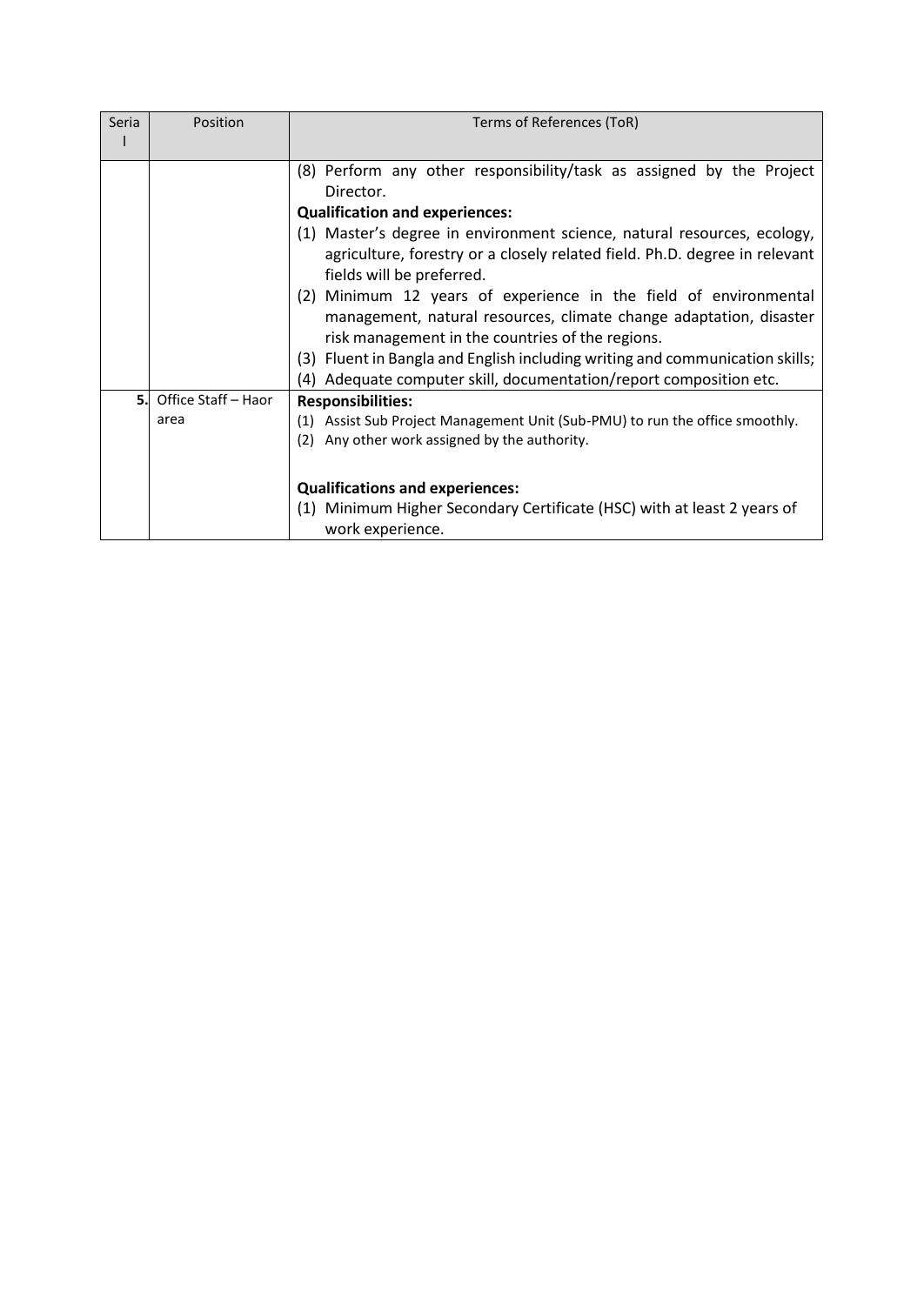| Seria | Position            | Terms of References (ToR)                                                                                                                                                          |
|-------|---------------------|------------------------------------------------------------------------------------------------------------------------------------------------------------------------------------|
|       |                     |                                                                                                                                                                                    |
|       |                     | (8) Perform any other responsibility/task as assigned by the Project                                                                                                               |
|       |                     | Director.                                                                                                                                                                          |
|       |                     | <b>Qualification and experiences:</b>                                                                                                                                              |
|       |                     | (1) Master's degree in environment science, natural resources, ecology,<br>agriculture, forestry or a closely related field. Ph.D. degree in relevant<br>fields will be preferred. |
|       |                     | (2) Minimum 12 years of experience in the field of environmental<br>management, natural resources, climate change adaptation, disaster                                             |
|       |                     | risk management in the countries of the regions.                                                                                                                                   |
|       |                     | (3) Fluent in Bangla and English including writing and communication skills;                                                                                                       |
|       |                     | (4) Adequate computer skill, documentation/report composition etc.                                                                                                                 |
| 5.    | Office Staff - Haor | <b>Responsibilities:</b>                                                                                                                                                           |
|       | area                | Assist Sub Project Management Unit (Sub-PMU) to run the office smoothly.<br>(1)                                                                                                    |
|       |                     | Any other work assigned by the authority.<br>(2)                                                                                                                                   |
|       |                     |                                                                                                                                                                                    |
|       |                     | <b>Qualifications and experiences:</b>                                                                                                                                             |
|       |                     | (1) Minimum Higher Secondary Certificate (HSC) with at least 2 years of<br>work experience.                                                                                        |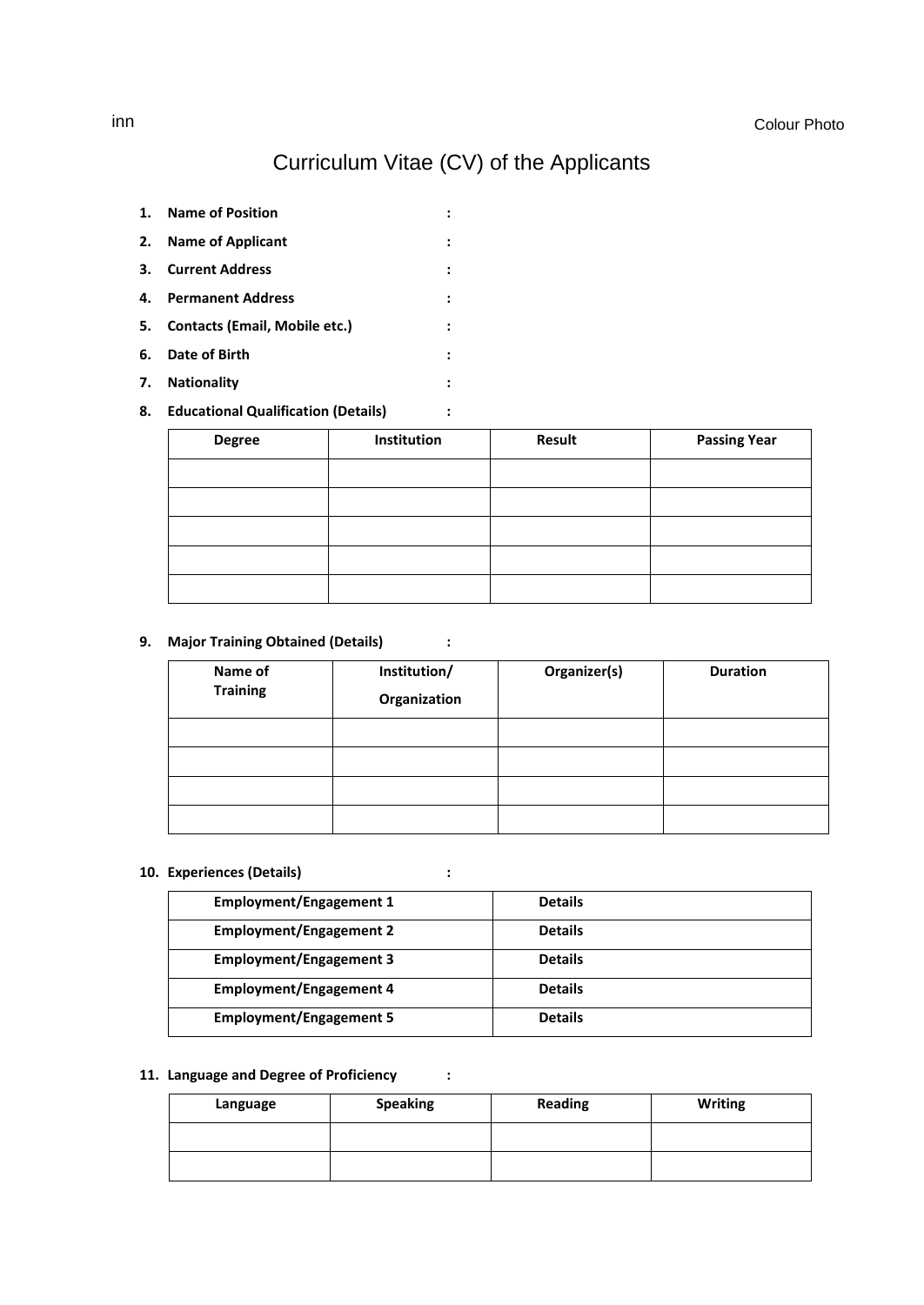### Curriculum Vitae (CV) of the Applicants

- <span id="page-4-0"></span>**1. Name of Position :**
- **2. Name of Applicant :**
- **3. Current Address :**
- **4. Permanent Address :**
- **5. Contacts (Email, Mobile etc.) :**
- **6. Date of Birth :**
- **7. Nationality :**
- **8. Educational Qualification (Details) :**

| <b>Degree</b> | Institution | <b>Result</b> | <b>Passing Year</b> |
|---------------|-------------|---------------|---------------------|
|               |             |               |                     |
|               |             |               |                     |
|               |             |               |                     |
|               |             |               |                     |
|               |             |               |                     |

### **9. Major Training Obtained (Details) :**

| Name of<br><b>Training</b> | Institution/<br>Organization | Organizer(s) | <b>Duration</b> |
|----------------------------|------------------------------|--------------|-----------------|
|                            |                              |              |                 |
|                            |                              |              |                 |
|                            |                              |              |                 |
|                            |                              |              |                 |

#### **10. Experiences (Details) :**

| <b>Employment/Engagement 1</b> | <b>Details</b> |
|--------------------------------|----------------|
| <b>Employment/Engagement 2</b> | <b>Details</b> |
| <b>Employment/Engagement 3</b> | <b>Details</b> |
| <b>Employment/Engagement 4</b> | <b>Details</b> |
| <b>Employment/Engagement 5</b> | <b>Details</b> |

#### **11. Language and Degree of Proficiency :**

| Language | <b>Speaking</b> | <b>Reading</b> | <b>Writing</b> |
|----------|-----------------|----------------|----------------|
|          |                 |                |                |
|          |                 |                |                |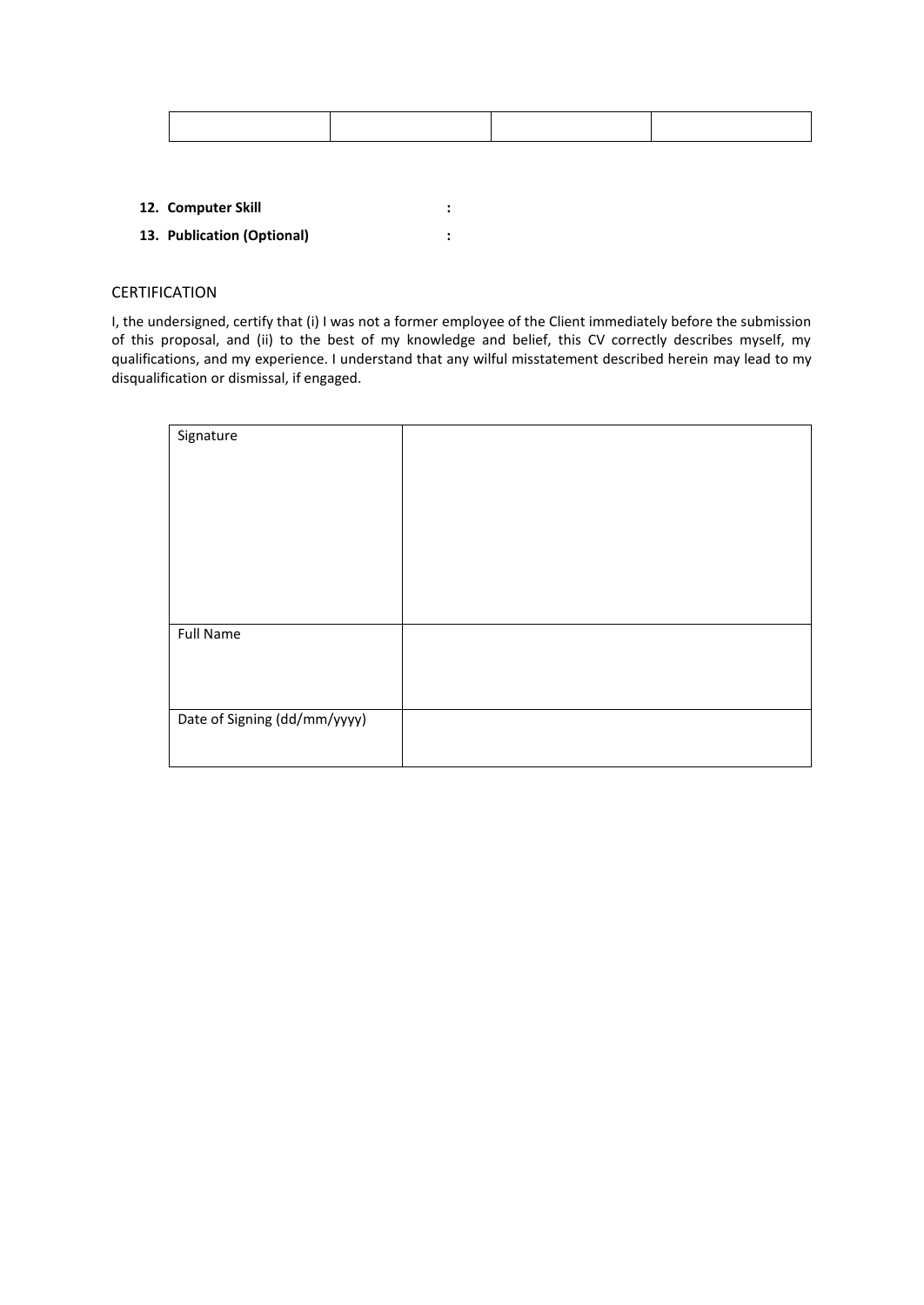- **12. Computer Skill :**
- **13. Publication (Optional) :**

#### CERTIFICATION

I, the undersigned, certify that (i) I was not a former employee of the Client immediately before the submission of this proposal, and (ii) to the best of my knowledge and belief, this CV correctly describes myself, my qualifications, and my experience. I understand that any wilful misstatement described herein may lead to my disqualification or dismissal, if engaged.

| Signature                    |  |
|------------------------------|--|
|                              |  |
|                              |  |
|                              |  |
|                              |  |
|                              |  |
|                              |  |
|                              |  |
|                              |  |
|                              |  |
|                              |  |
|                              |  |
|                              |  |
|                              |  |
|                              |  |
|                              |  |
|                              |  |
|                              |  |
|                              |  |
| <b>Full Name</b>             |  |
|                              |  |
|                              |  |
|                              |  |
|                              |  |
|                              |  |
|                              |  |
|                              |  |
| Date of Signing (dd/mm/yyyy) |  |
|                              |  |
|                              |  |
|                              |  |
|                              |  |
|                              |  |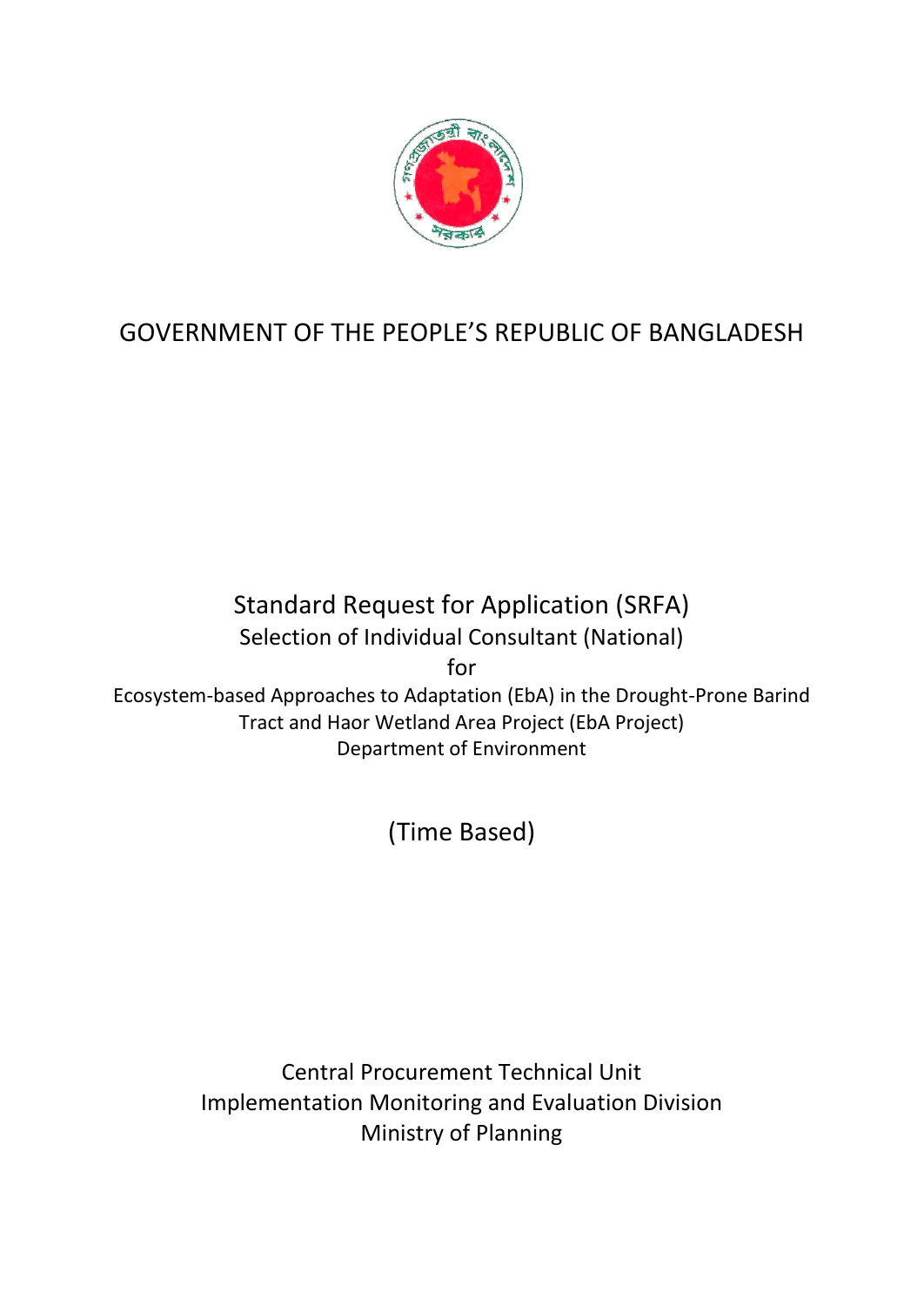

# GOVERNMENT OF THE PEOPLE'S REPUBLIC OF BANGLADESH

Standard Request for Application (SRFA) Selection of Individual Consultant (National)

for

Ecosystem-based Approaches to Adaptation (EbA) in the Drought-Prone Barind Tract and Haor Wetland Area Project (EbA Project) Department of Environment

(Time Based)

Central Procurement Technical Unit Implementation Monitoring and Evaluation Division Ministry of Planning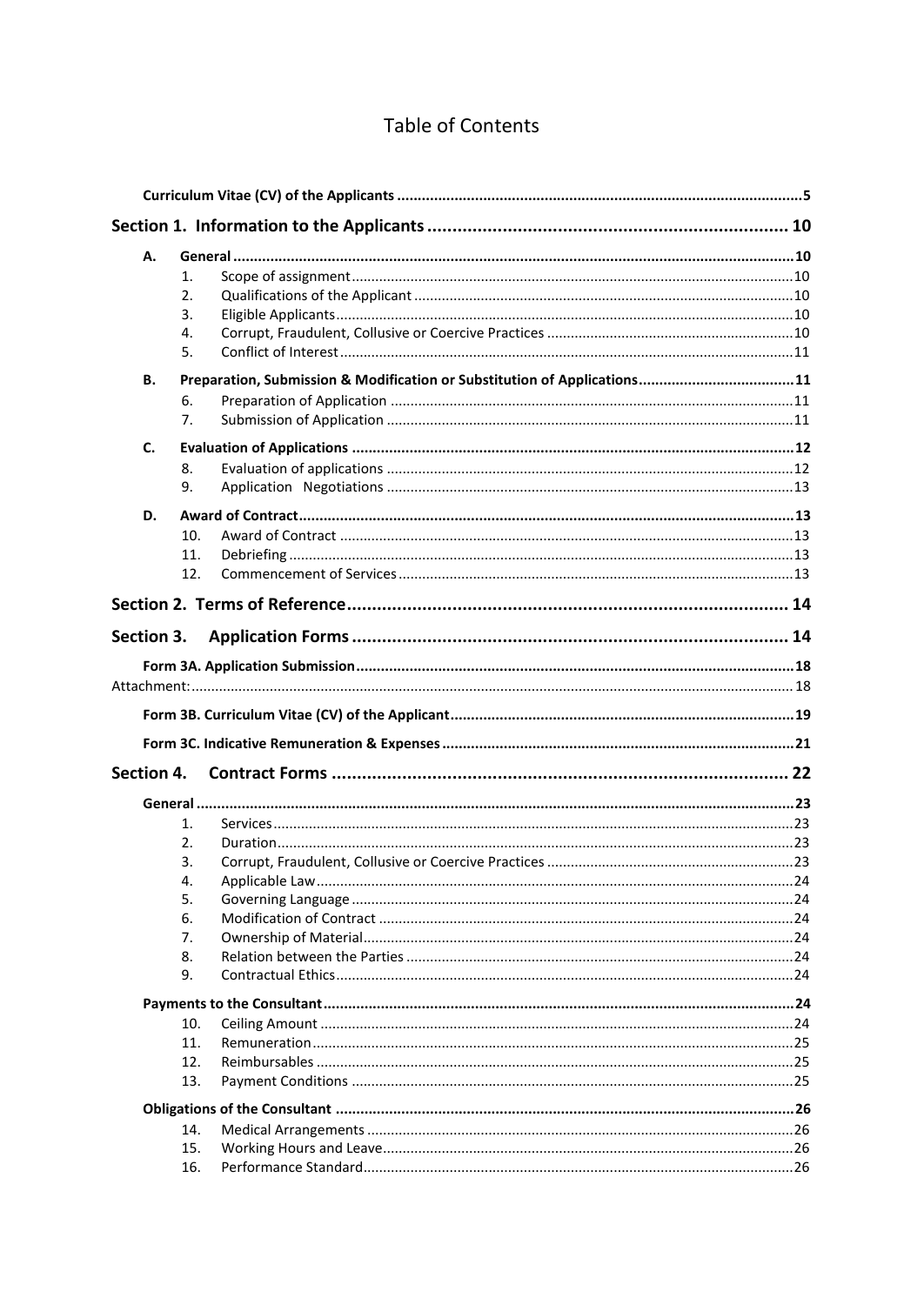### **Table of Contents**

| А.         |                                                                          |  |
|------------|--------------------------------------------------------------------------|--|
|            | 1.                                                                       |  |
|            | 2.                                                                       |  |
|            | 3.                                                                       |  |
|            | 4.                                                                       |  |
|            | 5.                                                                       |  |
| <b>B.</b>  | Preparation, Submission & Modification or Substitution of Applications11 |  |
|            | 6.                                                                       |  |
|            | 7.                                                                       |  |
| C.         |                                                                          |  |
|            | 8.                                                                       |  |
|            | 9.                                                                       |  |
| D.         |                                                                          |  |
|            | 10.                                                                      |  |
|            | 11.                                                                      |  |
|            | 12.                                                                      |  |
|            |                                                                          |  |
|            |                                                                          |  |
| Section 3. |                                                                          |  |
|            |                                                                          |  |
|            |                                                                          |  |
|            |                                                                          |  |
|            |                                                                          |  |
| Section 4. |                                                                          |  |
|            |                                                                          |  |
|            | 1.                                                                       |  |
|            | 2.                                                                       |  |
|            | 3.                                                                       |  |
|            |                                                                          |  |
|            | 5.                                                                       |  |
|            | 6.                                                                       |  |
|            | 7.                                                                       |  |
|            | 8.                                                                       |  |
|            | 9.                                                                       |  |
|            |                                                                          |  |
|            | 10.                                                                      |  |
|            | 11.                                                                      |  |
|            | 12.                                                                      |  |
|            | 13.                                                                      |  |
|            |                                                                          |  |
|            | 14.                                                                      |  |
|            | 15.                                                                      |  |
|            | 16.                                                                      |  |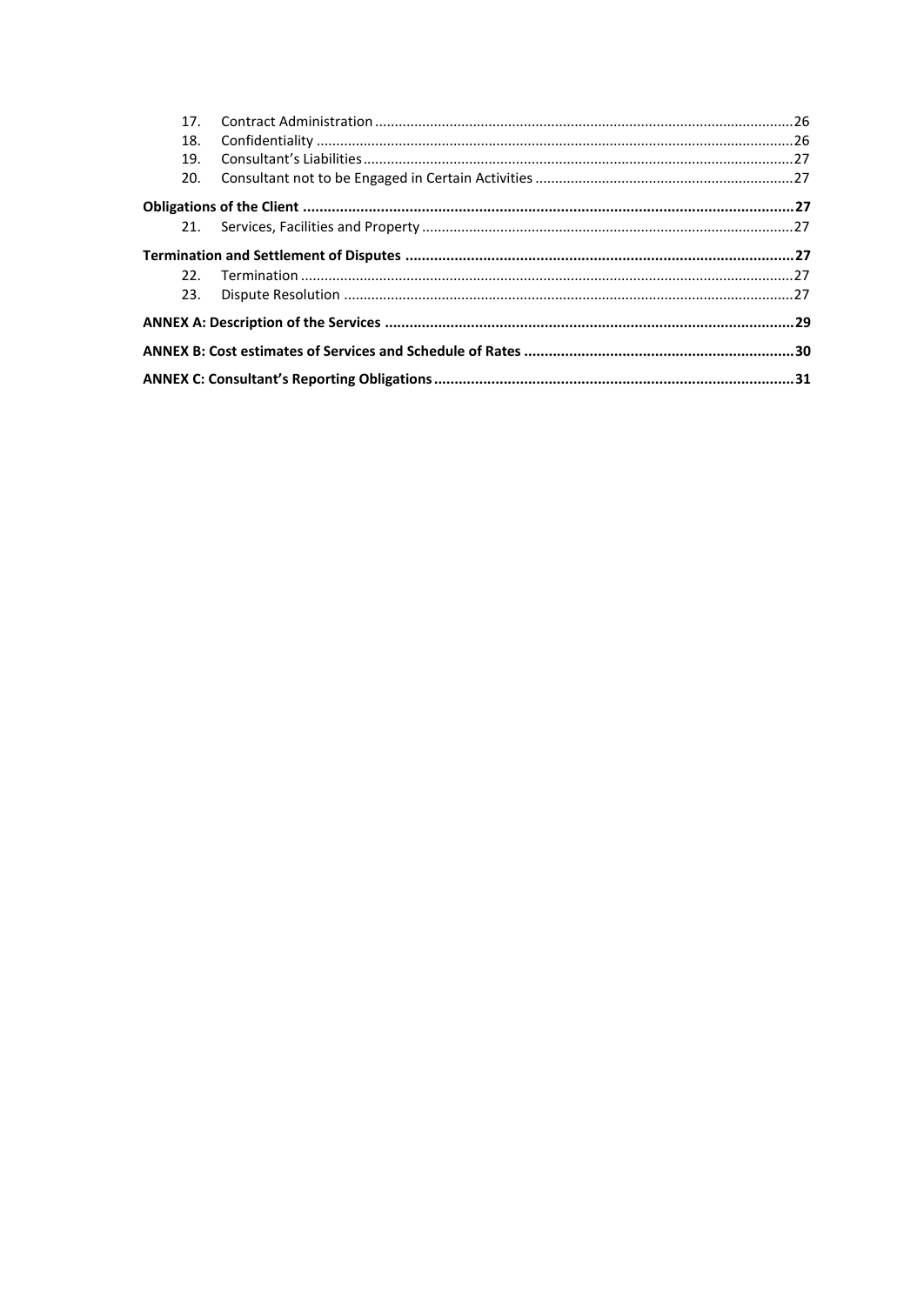| 17 <sub>1</sub> |  |  |  |
|-----------------|--|--|--|
| 18.             |  |  |  |
| 19.             |  |  |  |
| 20.             |  |  |  |
|                 |  |  |  |
|                 |  |  |  |
|                 |  |  |  |
|                 |  |  |  |
| 23.             |  |  |  |
|                 |  |  |  |
|                 |  |  |  |
|                 |  |  |  |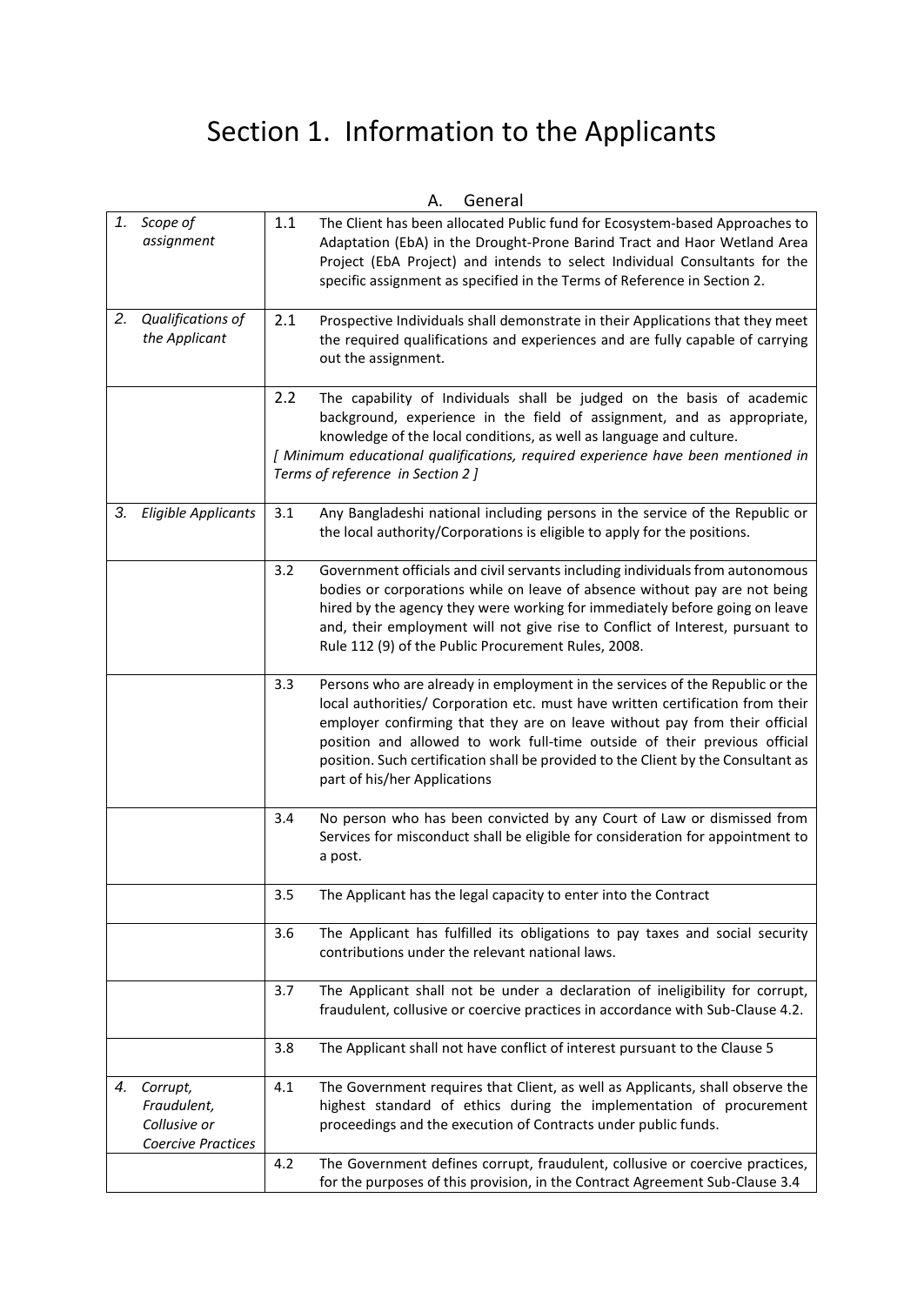# Section 1. Information to the Applicants

<span id="page-9-5"></span><span id="page-9-4"></span><span id="page-9-3"></span><span id="page-9-2"></span><span id="page-9-1"></span><span id="page-9-0"></span>

|    |                                                               |         | А.<br>General                                                                                                                                                                                                                                                                                                                                                                                                                                  |
|----|---------------------------------------------------------------|---------|------------------------------------------------------------------------------------------------------------------------------------------------------------------------------------------------------------------------------------------------------------------------------------------------------------------------------------------------------------------------------------------------------------------------------------------------|
|    | 1. Scope of<br>assignment                                     | $1.1\,$ | The Client has been allocated Public fund for Ecosystem-based Approaches to<br>Adaptation (EbA) in the Drought-Prone Barind Tract and Haor Wetland Area<br>Project (EbA Project) and intends to select Individual Consultants for the<br>specific assignment as specified in the Terms of Reference in Section 2.                                                                                                                              |
|    | 2. Qualifications of<br>the Applicant                         | 2.1     | Prospective Individuals shall demonstrate in their Applications that they meet<br>the required qualifications and experiences and are fully capable of carrying<br>out the assignment.                                                                                                                                                                                                                                                         |
|    |                                                               | 2.2     | The capability of Individuals shall be judged on the basis of academic<br>background, experience in the field of assignment, and as appropriate,<br>knowledge of the local conditions, as well as language and culture.<br>[ Minimum educational qualifications, required experience have been mentioned in<br>Terms of reference in Section 2]                                                                                                |
| 3. | <b>Eligible Applicants</b>                                    | 3.1     | Any Bangladeshi national including persons in the service of the Republic or<br>the local authority/Corporations is eligible to apply for the positions.                                                                                                                                                                                                                                                                                       |
|    |                                                               | 3.2     | Government officials and civil servants including individuals from autonomous<br>bodies or corporations while on leave of absence without pay are not being<br>hired by the agency they were working for immediately before going on leave<br>and, their employment will not give rise to Conflict of Interest, pursuant to<br>Rule 112 (9) of the Public Procurement Rules, 2008.                                                             |
|    |                                                               | 3.3     | Persons who are already in employment in the services of the Republic or the<br>local authorities/ Corporation etc. must have written certification from their<br>employer confirming that they are on leave without pay from their official<br>position and allowed to work full-time outside of their previous official<br>position. Such certification shall be provided to the Client by the Consultant as<br>part of his/her Applications |
|    |                                                               | 3.4     | No person who has been convicted by any Court of Law or dismissed from<br>Services for misconduct shall be eligible for consideration for appointment to<br>a post.                                                                                                                                                                                                                                                                            |
|    |                                                               | 3.5     | The Applicant has the legal capacity to enter into the Contract                                                                                                                                                                                                                                                                                                                                                                                |
|    |                                                               | 3.6     | The Applicant has fulfilled its obligations to pay taxes and social security<br>contributions under the relevant national laws.                                                                                                                                                                                                                                                                                                                |
|    |                                                               | 3.7     | The Applicant shall not be under a declaration of ineligibility for corrupt,<br>fraudulent, collusive or coercive practices in accordance with Sub-Clause 4.2.                                                                                                                                                                                                                                                                                 |
|    |                                                               | 3.8     | The Applicant shall not have conflict of interest pursuant to the Clause 5                                                                                                                                                                                                                                                                                                                                                                     |
| 4. | Corrupt,<br>Fraudulent,<br>Collusive or<br>Coercive Practices | 4.1     | The Government requires that Client, as well as Applicants, shall observe the<br>highest standard of ethics during the implementation of procurement<br>proceedings and the execution of Contracts under public funds.                                                                                                                                                                                                                         |
|    |                                                               | 4.2     | The Government defines corrupt, fraudulent, collusive or coercive practices,<br>for the purposes of this provision, in the Contract Agreement Sub-Clause 3.4                                                                                                                                                                                                                                                                                   |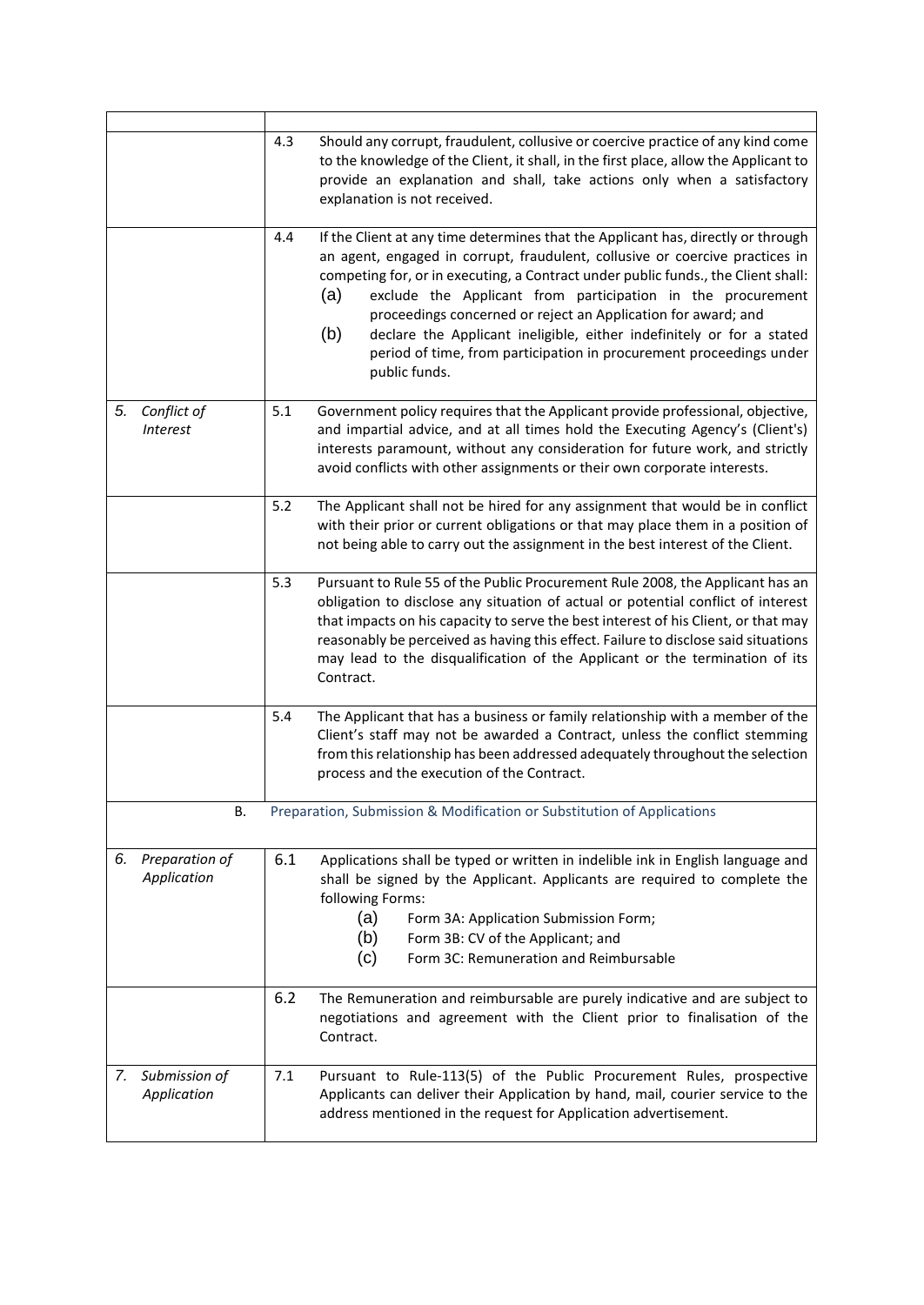<span id="page-10-3"></span><span id="page-10-2"></span><span id="page-10-1"></span><span id="page-10-0"></span>

|                                   | 4.3 | Should any corrupt, fraudulent, collusive or coercive practice of any kind come<br>to the knowledge of the Client, it shall, in the first place, allow the Applicant to<br>provide an explanation and shall, take actions only when a satisfactory<br>explanation is not received.                                                                                                                                                                                                                                                                                   |
|-----------------------------------|-----|----------------------------------------------------------------------------------------------------------------------------------------------------------------------------------------------------------------------------------------------------------------------------------------------------------------------------------------------------------------------------------------------------------------------------------------------------------------------------------------------------------------------------------------------------------------------|
|                                   | 4.4 | If the Client at any time determines that the Applicant has, directly or through<br>an agent, engaged in corrupt, fraudulent, collusive or coercive practices in<br>competing for, or in executing, a Contract under public funds., the Client shall:<br>(a)<br>exclude the Applicant from participation in the procurement<br>proceedings concerned or reject an Application for award; and<br>(b)<br>declare the Applicant ineligible, either indefinitely or for a stated<br>period of time, from participation in procurement proceedings under<br>public funds. |
| 5. Conflict of<br><b>Interest</b> | 5.1 | Government policy requires that the Applicant provide professional, objective,<br>and impartial advice, and at all times hold the Executing Agency's (Client's)<br>interests paramount, without any consideration for future work, and strictly<br>avoid conflicts with other assignments or their own corporate interests.                                                                                                                                                                                                                                          |
|                                   | 5.2 | The Applicant shall not be hired for any assignment that would be in conflict<br>with their prior or current obligations or that may place them in a position of<br>not being able to carry out the assignment in the best interest of the Client.                                                                                                                                                                                                                                                                                                                   |
|                                   | 5.3 | Pursuant to Rule 55 of the Public Procurement Rule 2008, the Applicant has an<br>obligation to disclose any situation of actual or potential conflict of interest<br>that impacts on his capacity to serve the best interest of his Client, or that may<br>reasonably be perceived as having this effect. Failure to disclose said situations<br>may lead to the disqualification of the Applicant or the termination of its<br>Contract.                                                                                                                            |
|                                   | 5.4 | The Applicant that has a business or family relationship with a member of the<br>Client's staff may not be awarded a Contract, unless the conflict stemming<br>from this relationship has been addressed adequately throughout the selection<br>process and the execution of the Contract.                                                                                                                                                                                                                                                                           |
| В.                                |     | Preparation, Submission & Modification or Substitution of Applications                                                                                                                                                                                                                                                                                                                                                                                                                                                                                               |
| 6. Preparation of<br>Application  | 6.1 | Applications shall be typed or written in indelible ink in English language and<br>shall be signed by the Applicant. Applicants are required to complete the<br>following Forms:<br>(a)<br>Form 3A: Application Submission Form;<br>(b)<br>Form 3B: CV of the Applicant; and<br>(c)<br>Form 3C: Remuneration and Reimbursable                                                                                                                                                                                                                                        |
|                                   | 6.2 | The Remuneration and reimbursable are purely indicative and are subject to<br>negotiations and agreement with the Client prior to finalisation of the<br>Contract.                                                                                                                                                                                                                                                                                                                                                                                                   |
| 7. Submission of<br>Application   | 7.1 | Pursuant to Rule-113(5) of the Public Procurement Rules, prospective<br>Applicants can deliver their Application by hand, mail, courier service to the<br>address mentioned in the request for Application advertisement.                                                                                                                                                                                                                                                                                                                                            |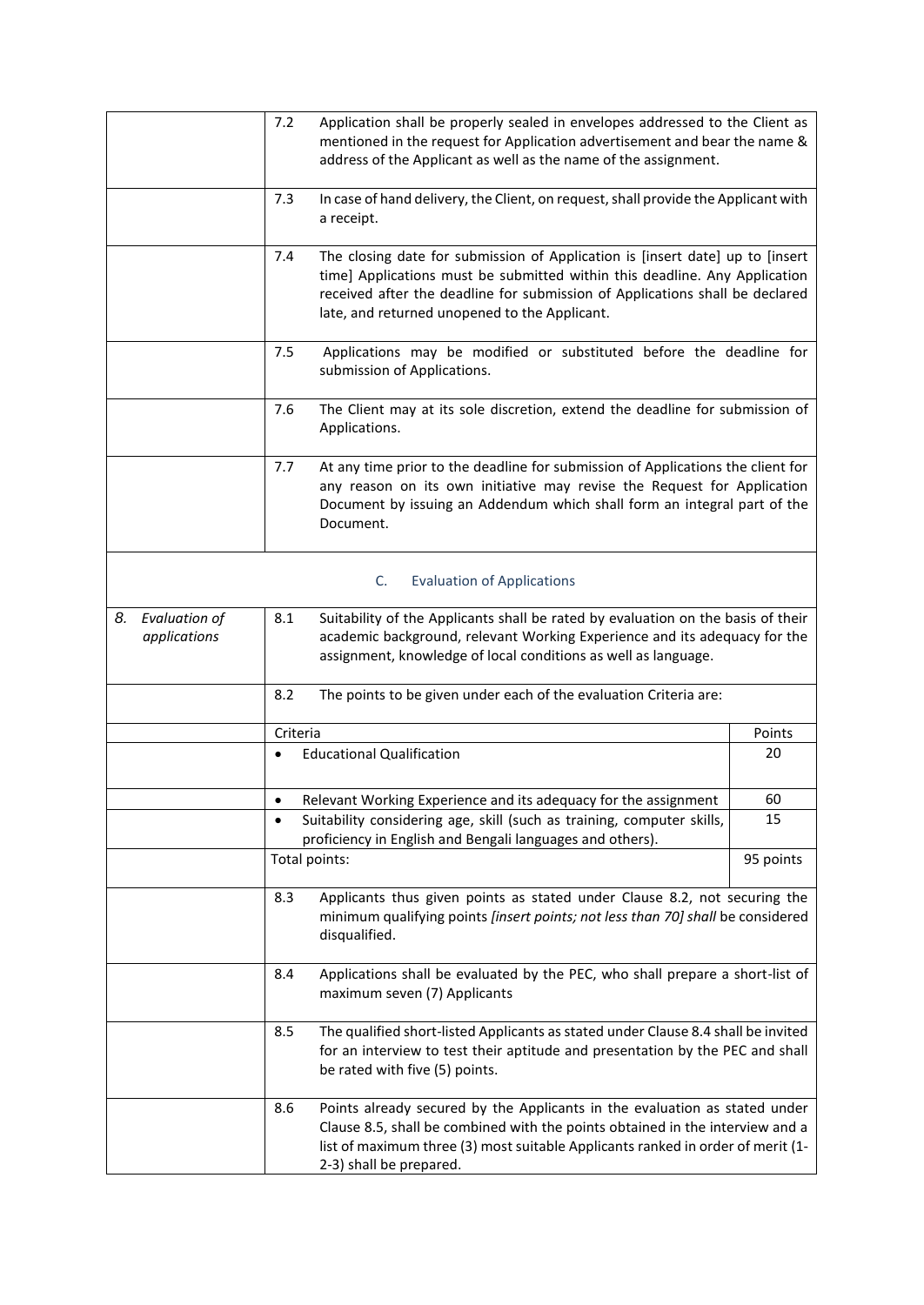<span id="page-11-1"></span><span id="page-11-0"></span>

|                                     | 7.2<br>address of the Applicant as well as the name of the assignment.              | Application shall be properly sealed in envelopes addressed to the Client as<br>mentioned in the request for Application advertisement and bear the name &                                                                                     |
|-------------------------------------|-------------------------------------------------------------------------------------|------------------------------------------------------------------------------------------------------------------------------------------------------------------------------------------------------------------------------------------------|
|                                     | 7.3<br>a receipt.                                                                   | In case of hand delivery, the Client, on request, shall provide the Applicant with                                                                                                                                                             |
|                                     | 7.4<br>late, and returned unopened to the Applicant.                                | The closing date for submission of Application is [insert date] up to [insert<br>time] Applications must be submitted within this deadline. Any Application<br>received after the deadline for submission of Applications shall be declared    |
|                                     | 7.5<br>submission of Applications.                                                  | Applications may be modified or substituted before the deadline for                                                                                                                                                                            |
|                                     | 7.6<br>Applications.                                                                | The Client may at its sole discretion, extend the deadline for submission of                                                                                                                                                                   |
|                                     | 7.7<br>Document.                                                                    | At any time prior to the deadline for submission of Applications the client for<br>any reason on its own initiative may revise the Request for Application<br>Document by issuing an Addendum which shall form an integral part of the         |
|                                     | C.<br><b>Evaluation of Applications</b>                                             |                                                                                                                                                                                                                                                |
| Evaluation of<br>8.<br>applications | 8.1<br>assignment, knowledge of local conditions as well as language.               | Suitability of the Applicants shall be rated by evaluation on the basis of their<br>academic background, relevant Working Experience and its adequacy for the                                                                                  |
|                                     | 8.2                                                                                 | The points to be given under each of the evaluation Criteria are:                                                                                                                                                                              |
|                                     | Criteria                                                                            | Points                                                                                                                                                                                                                                         |
|                                     | <b>Educational Qualification</b><br>$\bullet$                                       | 20                                                                                                                                                                                                                                             |
|                                     | Relevant Working Experience and its adequacy for the assignment                     | 60                                                                                                                                                                                                                                             |
|                                     | Suitability considering age, skill (such as training, computer skills,<br>$\bullet$ | 15                                                                                                                                                                                                                                             |
|                                     | proficiency in English and Bengali languages and others).                           |                                                                                                                                                                                                                                                |
|                                     | Total points:                                                                       | 95 points                                                                                                                                                                                                                                      |
|                                     | 8.3<br>disqualified.                                                                | Applicants thus given points as stated under Clause 8.2, not securing the<br>minimum qualifying points [insert points; not less than 70] shall be considered                                                                                   |
|                                     | 8.4<br>maximum seven (7) Applicants                                                 | Applications shall be evaluated by the PEC, who shall prepare a short-list of                                                                                                                                                                  |
|                                     | 8.5<br>be rated with five (5) points.                                               | The qualified short-listed Applicants as stated under Clause 8.4 shall be invited<br>for an interview to test their aptitude and presentation by the PEC and shall                                                                             |
|                                     | 8.6<br>2-3) shall be prepared.                                                      | Points already secured by the Applicants in the evaluation as stated under<br>Clause 8.5, shall be combined with the points obtained in the interview and a<br>list of maximum three (3) most suitable Applicants ranked in order of merit (1- |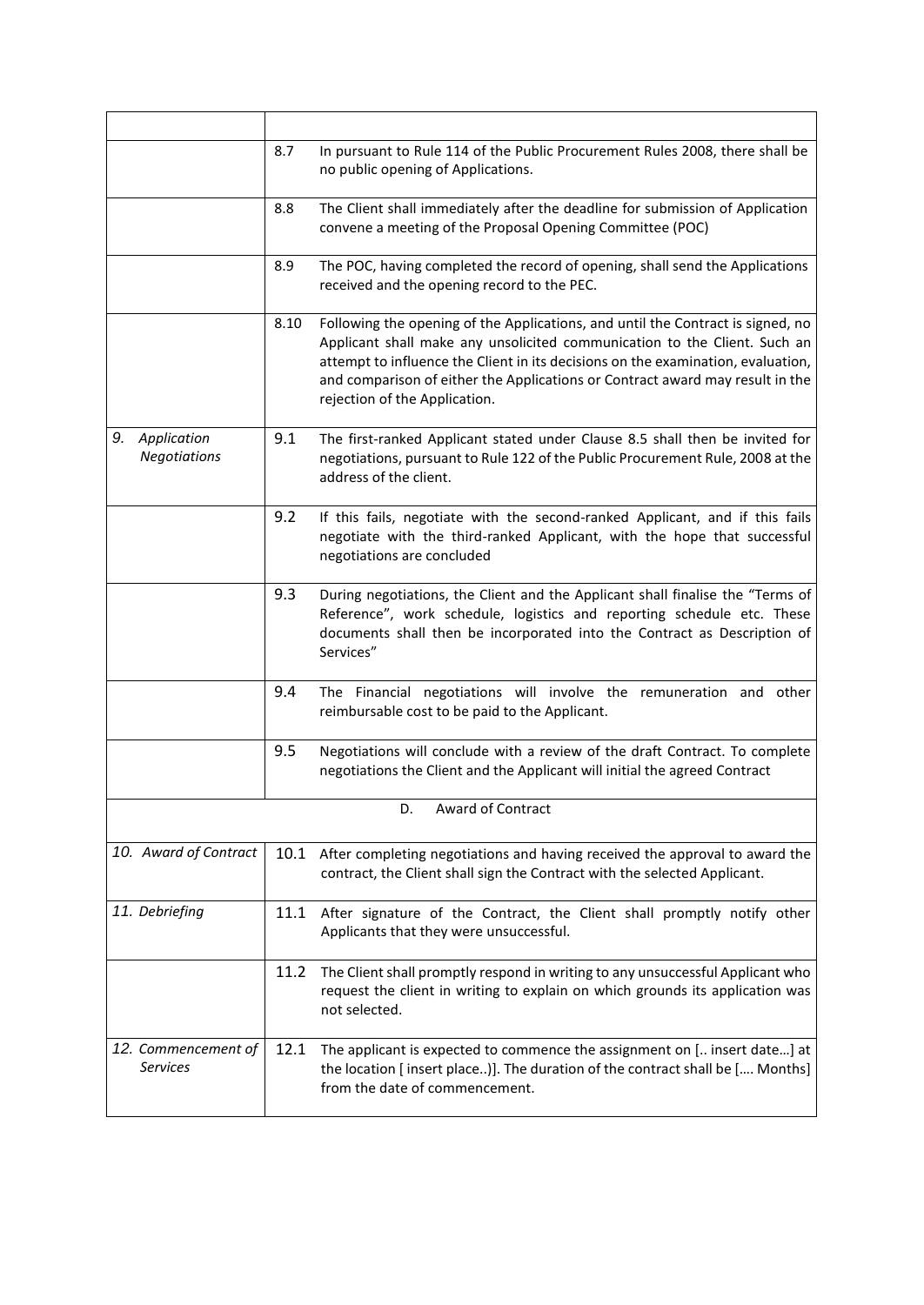<span id="page-12-4"></span><span id="page-12-3"></span><span id="page-12-2"></span><span id="page-12-1"></span><span id="page-12-0"></span>

|                                        | 8.7  | In pursuant to Rule 114 of the Public Procurement Rules 2008, there shall be<br>no public opening of Applications.                                                                                                                                                                                                                                                 |
|----------------------------------------|------|--------------------------------------------------------------------------------------------------------------------------------------------------------------------------------------------------------------------------------------------------------------------------------------------------------------------------------------------------------------------|
|                                        | 8.8  | The Client shall immediately after the deadline for submission of Application<br>convene a meeting of the Proposal Opening Committee (POC)                                                                                                                                                                                                                         |
|                                        | 8.9  | The POC, having completed the record of opening, shall send the Applications<br>received and the opening record to the PEC.                                                                                                                                                                                                                                        |
|                                        | 8.10 | Following the opening of the Applications, and until the Contract is signed, no<br>Applicant shall make any unsolicited communication to the Client. Such an<br>attempt to influence the Client in its decisions on the examination, evaluation,<br>and comparison of either the Applications or Contract award may result in the<br>rejection of the Application. |
| 9. Application<br><b>Negotiations</b>  | 9.1  | The first-ranked Applicant stated under Clause 8.5 shall then be invited for<br>negotiations, pursuant to Rule 122 of the Public Procurement Rule, 2008 at the<br>address of the client.                                                                                                                                                                           |
|                                        | 9.2  | If this fails, negotiate with the second-ranked Applicant, and if this fails<br>negotiate with the third-ranked Applicant, with the hope that successful<br>negotiations are concluded                                                                                                                                                                             |
|                                        | 9.3  | During negotiations, the Client and the Applicant shall finalise the "Terms of<br>Reference", work schedule, logistics and reporting schedule etc. These<br>documents shall then be incorporated into the Contract as Description of<br>Services"                                                                                                                  |
|                                        | 9.4  | The Financial negotiations will involve the remuneration and other<br>reimbursable cost to be paid to the Applicant.                                                                                                                                                                                                                                               |
|                                        | 9.5  | Negotiations will conclude with a review of the draft Contract. To complete<br>negotiations the Client and the Applicant will initial the agreed Contract                                                                                                                                                                                                          |
|                                        |      | Award of Contract<br>D.                                                                                                                                                                                                                                                                                                                                            |
| 10. Award of Contract                  |      | 10.1 After completing negotiations and having received the approval to award the<br>contract, the Client shall sign the Contract with the selected Applicant.                                                                                                                                                                                                      |
| 11. Debriefing                         | 11.1 | After signature of the Contract, the Client shall promptly notify other<br>Applicants that they were unsuccessful.                                                                                                                                                                                                                                                 |
|                                        | 11.2 | The Client shall promptly respond in writing to any unsuccessful Applicant who<br>request the client in writing to explain on which grounds its application was<br>not selected.                                                                                                                                                                                   |
| 12. Commencement of<br><b>Services</b> | 12.1 | The applicant is expected to commence the assignment on [ insert date] at<br>the location [insert place)]. The duration of the contract shall be [ Months]<br>from the date of commencement.                                                                                                                                                                       |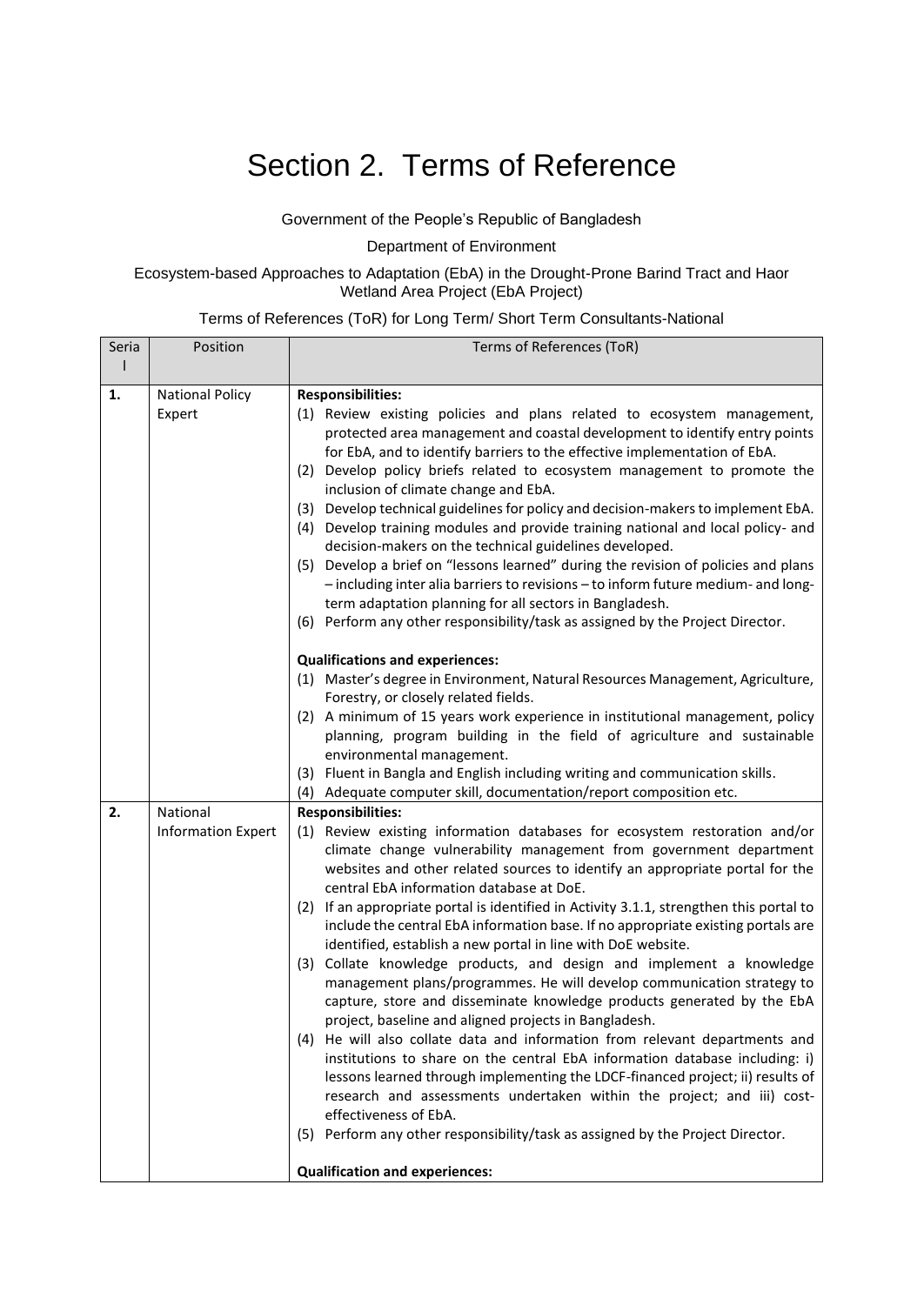# <span id="page-13-0"></span>Section 2. Terms of Reference

### Government of the People's Republic of Bangladesh

Department of Environment

#### <span id="page-13-1"></span>Ecosystem-based Approaches to Adaptation (EbA) in the Drought-Prone Barind Tract and Haor Wetland Area Project (EbA Project)

### Terms of References (ToR) for Long Term/ Short Term Consultants-National

| Seria                                                                  | Position                  | Terms of References (ToR)                                                                                                                                                   |
|------------------------------------------------------------------------|---------------------------|-----------------------------------------------------------------------------------------------------------------------------------------------------------------------------|
|                                                                        |                           |                                                                                                                                                                             |
| 1.                                                                     | <b>National Policy</b>    | <b>Responsibilities:</b>                                                                                                                                                    |
|                                                                        | Expert                    | (1) Review existing policies and plans related to ecosystem management,                                                                                                     |
|                                                                        |                           | protected area management and coastal development to identify entry points                                                                                                  |
|                                                                        |                           | for EbA, and to identify barriers to the effective implementation of EbA.                                                                                                   |
|                                                                        |                           | (2) Develop policy briefs related to ecosystem management to promote the                                                                                                    |
|                                                                        |                           | inclusion of climate change and EbA.                                                                                                                                        |
|                                                                        |                           | (3) Develop technical guidelines for policy and decision-makers to implement EbA.<br>(4) Develop training modules and provide training national and local policy- and       |
|                                                                        |                           | decision-makers on the technical guidelines developed.                                                                                                                      |
|                                                                        |                           | (5) Develop a brief on "lessons learned" during the revision of policies and plans                                                                                          |
|                                                                        |                           | - including inter alia barriers to revisions - to inform future medium- and long-                                                                                           |
|                                                                        |                           | term adaptation planning for all sectors in Bangladesh.                                                                                                                     |
|                                                                        |                           | (6) Perform any other responsibility/task as assigned by the Project Director.                                                                                              |
|                                                                        |                           | <b>Qualifications and experiences:</b>                                                                                                                                      |
|                                                                        |                           | (1) Master's degree in Environment, Natural Resources Management, Agriculture,                                                                                              |
|                                                                        |                           | Forestry, or closely related fields.                                                                                                                                        |
|                                                                        |                           | (2) A minimum of 15 years work experience in institutional management, policy                                                                                               |
| planning, program building in the field of agriculture and sustainable |                           |                                                                                                                                                                             |
|                                                                        |                           | environmental management.<br>(3) Fluent in Bangla and English including writing and communication skills.                                                                   |
|                                                                        |                           | (4) Adequate computer skill, documentation/report composition etc.                                                                                                          |
| 2.                                                                     | National                  | <b>Responsibilities:</b>                                                                                                                                                    |
|                                                                        | <b>Information Expert</b> | (1) Review existing information databases for ecosystem restoration and/or                                                                                                  |
|                                                                        |                           | climate change vulnerability management from government department                                                                                                          |
|                                                                        |                           | websites and other related sources to identify an appropriate portal for the                                                                                                |
|                                                                        |                           | central EbA information database at DoE.                                                                                                                                    |
|                                                                        |                           | (2) If an appropriate portal is identified in Activity 3.1.1, strengthen this portal to<br>include the central EbA information base. If no appropriate existing portals are |
|                                                                        |                           | identified, establish a new portal in line with DoE website.                                                                                                                |
|                                                                        |                           | (3) Collate knowledge products, and design and implement a knowledge                                                                                                        |
|                                                                        |                           | management plans/programmes. He will develop communication strategy to                                                                                                      |
|                                                                        |                           | capture, store and disseminate knowledge products generated by the EbA                                                                                                      |
|                                                                        |                           | project, baseline and aligned projects in Bangladesh.                                                                                                                       |
|                                                                        |                           | (4) He will also collate data and information from relevant departments and                                                                                                 |
|                                                                        |                           | institutions to share on the central EbA information database including: i)                                                                                                 |
|                                                                        |                           | lessons learned through implementing the LDCF-financed project; ii) results of                                                                                              |
|                                                                        |                           | research and assessments undertaken within the project; and iii) cost-<br>effectiveness of EbA.                                                                             |
|                                                                        |                           | (5) Perform any other responsibility/task as assigned by the Project Director.                                                                                              |
|                                                                        |                           |                                                                                                                                                                             |
|                                                                        |                           | <b>Qualification and experiences:</b>                                                                                                                                       |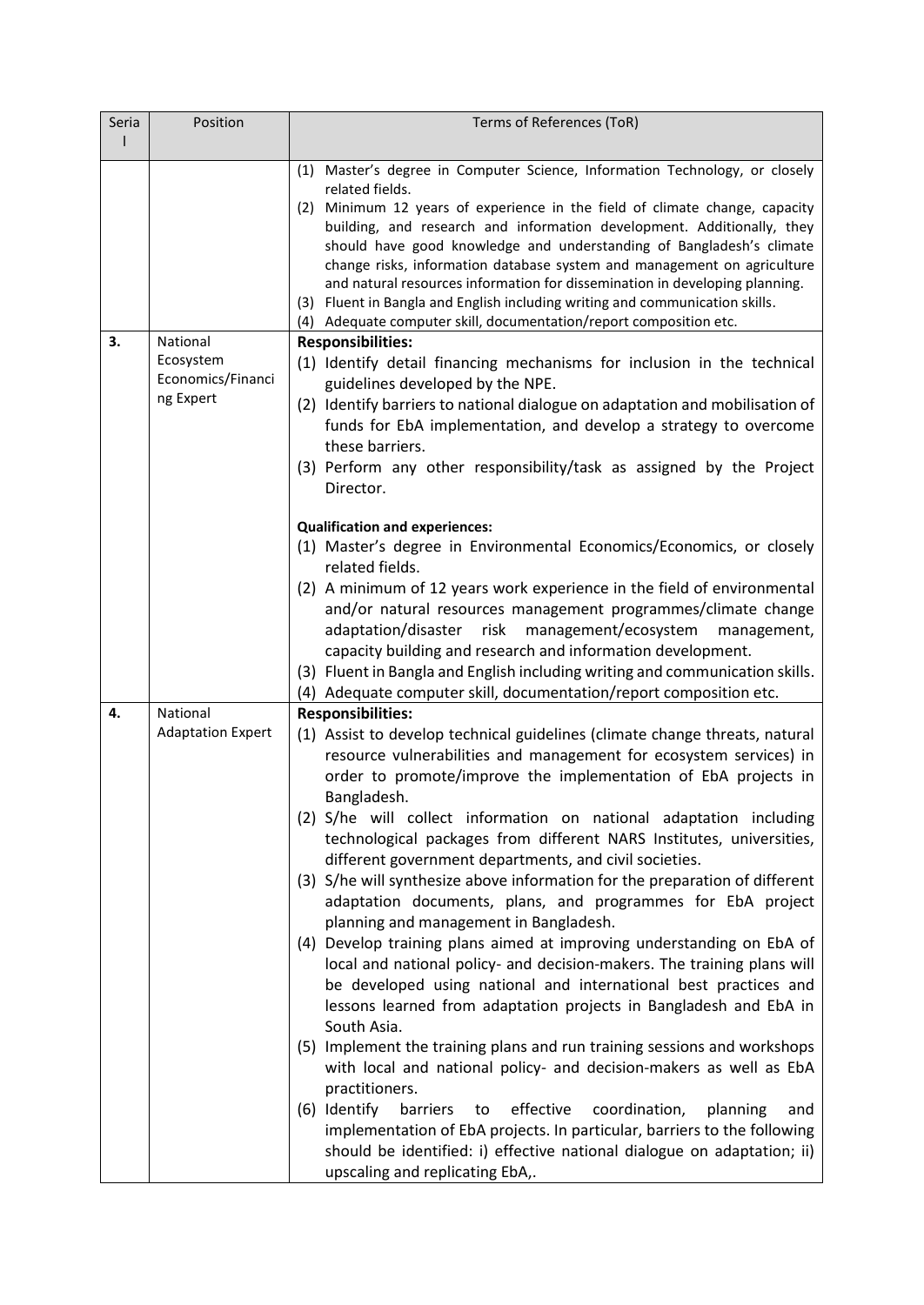| Seria | Position                       | Terms of References (ToR)                                                                                                                  |
|-------|--------------------------------|--------------------------------------------------------------------------------------------------------------------------------------------|
|       |                                |                                                                                                                                            |
|       |                                | (1) Master's degree in Computer Science, Information Technology, or closely<br>related fields.                                             |
|       |                                | (2) Minimum 12 years of experience in the field of climate change, capacity                                                                |
|       |                                | building, and research and information development. Additionally, they                                                                     |
|       |                                | should have good knowledge and understanding of Bangladesh's climate                                                                       |
|       |                                | change risks, information database system and management on agriculture                                                                    |
|       |                                | and natural resources information for dissemination in developing planning.                                                                |
|       |                                | (3) Fluent in Bangla and English including writing and communication skills.                                                               |
|       |                                | (4) Adequate computer skill, documentation/report composition etc.                                                                         |
| З.    | National                       | <b>Responsibilities:</b>                                                                                                                   |
|       | Ecosystem<br>Economics/Financi | (1) Identify detail financing mechanisms for inclusion in the technical<br>guidelines developed by the NPE.                                |
|       | ng Expert                      | (2) Identify barriers to national dialogue on adaptation and mobilisation of                                                               |
|       |                                | funds for EbA implementation, and develop a strategy to overcome                                                                           |
|       |                                | these barriers.                                                                                                                            |
|       |                                | (3) Perform any other responsibility/task as assigned by the Project                                                                       |
|       |                                | Director.                                                                                                                                  |
|       |                                |                                                                                                                                            |
|       |                                | <b>Qualification and experiences:</b>                                                                                                      |
|       |                                | (1) Master's degree in Environmental Economics/Economics, or closely                                                                       |
|       |                                | related fields.                                                                                                                            |
|       |                                | (2) A minimum of 12 years work experience in the field of environmental                                                                    |
|       |                                | and/or natural resources management programmes/climate change                                                                              |
|       |                                | adaptation/disaster risk<br>management/ecosystem<br>management,                                                                            |
|       |                                | capacity building and research and information development.                                                                                |
|       |                                | (3) Fluent in Bangla and English including writing and communication skills.                                                               |
| 4.    | National                       | (4) Adequate computer skill, documentation/report composition etc.                                                                         |
|       | <b>Adaptation Expert</b>       | <b>Responsibilities:</b>                                                                                                                   |
|       |                                | (1) Assist to develop technical guidelines (climate change threats, natural                                                                |
|       |                                | resource vulnerabilities and management for ecosystem services) in                                                                         |
|       |                                | order to promote/improve the implementation of EbA projects in                                                                             |
|       |                                | Bangladesh.                                                                                                                                |
|       |                                | (2) S/he will collect information on national adaptation including<br>technological packages from different NARS Institutes, universities, |
|       |                                | different government departments, and civil societies.                                                                                     |
|       |                                | (3) S/he will synthesize above information for the preparation of different                                                                |
|       |                                | adaptation documents, plans, and programmes for EbA project                                                                                |
|       |                                | planning and management in Bangladesh.                                                                                                     |
|       |                                | (4) Develop training plans aimed at improving understanding on EbA of                                                                      |
|       |                                | local and national policy- and decision-makers. The training plans will                                                                    |
|       |                                | be developed using national and international best practices and                                                                           |
|       |                                | lessons learned from adaptation projects in Bangladesh and EbA in                                                                          |
|       |                                | South Asia.                                                                                                                                |
|       |                                | (5) Implement the training plans and run training sessions and workshops                                                                   |
|       |                                | with local and national policy- and decision-makers as well as EbA                                                                         |
|       |                                | practitioners.                                                                                                                             |
|       |                                | (6) Identify<br>barriers<br>effective<br>coordination,<br>planning<br>to<br>and                                                            |
|       |                                | implementation of EbA projects. In particular, barriers to the following                                                                   |
|       |                                | should be identified: i) effective national dialogue on adaptation; ii)                                                                    |
|       |                                | upscaling and replicating EbA,.                                                                                                            |
|       |                                |                                                                                                                                            |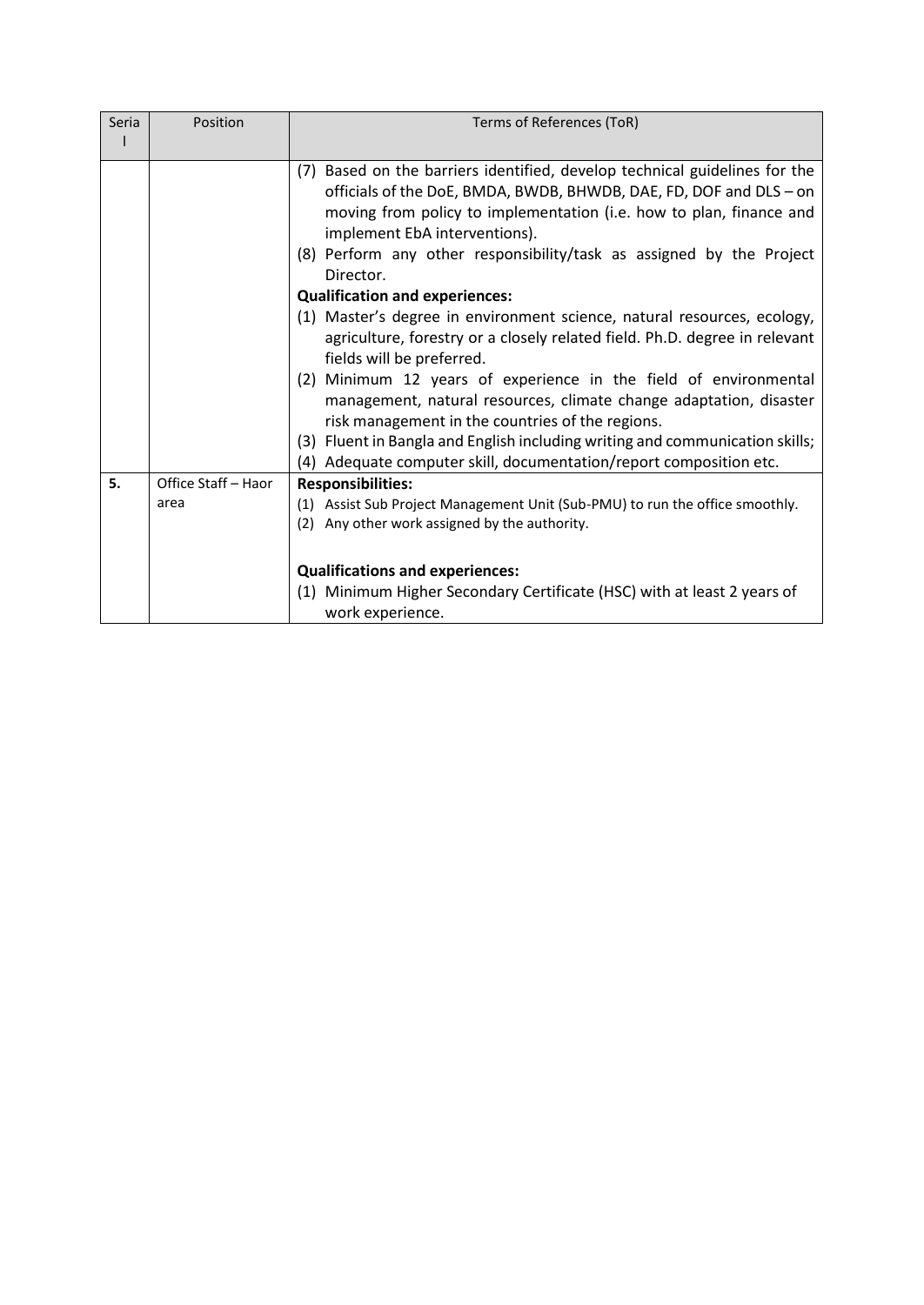| Seria | Position            | Terms of References (ToR)                                                                                                                                                                                                                                                                                                                                                                                                                                                                                                                                                                                                                                                                                                                                                                                                                                                                                                        |
|-------|---------------------|----------------------------------------------------------------------------------------------------------------------------------------------------------------------------------------------------------------------------------------------------------------------------------------------------------------------------------------------------------------------------------------------------------------------------------------------------------------------------------------------------------------------------------------------------------------------------------------------------------------------------------------------------------------------------------------------------------------------------------------------------------------------------------------------------------------------------------------------------------------------------------------------------------------------------------|
|       |                     |                                                                                                                                                                                                                                                                                                                                                                                                                                                                                                                                                                                                                                                                                                                                                                                                                                                                                                                                  |
|       |                     | (7) Based on the barriers identified, develop technical guidelines for the<br>officials of the DoE, BMDA, BWDB, BHWDB, DAE, FD, DOF and DLS - on<br>moving from policy to implementation (i.e. how to plan, finance and<br>implement EbA interventions).<br>(8) Perform any other responsibility/task as assigned by the Project<br>Director.<br><b>Qualification and experiences:</b><br>(1) Master's degree in environment science, natural resources, ecology,<br>agriculture, forestry or a closely related field. Ph.D. degree in relevant<br>fields will be preferred.<br>(2) Minimum 12 years of experience in the field of environmental<br>management, natural resources, climate change adaptation, disaster<br>risk management in the countries of the regions.<br>(3) Fluent in Bangla and English including writing and communication skills;<br>(4) Adequate computer skill, documentation/report composition etc. |
| 5.    | Office Staff - Haor | <b>Responsibilities:</b>                                                                                                                                                                                                                                                                                                                                                                                                                                                                                                                                                                                                                                                                                                                                                                                                                                                                                                         |
|       | area                | (1) Assist Sub Project Management Unit (Sub-PMU) to run the office smoothly.<br>(2) Any other work assigned by the authority.                                                                                                                                                                                                                                                                                                                                                                                                                                                                                                                                                                                                                                                                                                                                                                                                    |
|       |                     | <b>Qualifications and experiences:</b><br>(1) Minimum Higher Secondary Certificate (HSC) with at least 2 years of<br>work experience.                                                                                                                                                                                                                                                                                                                                                                                                                                                                                                                                                                                                                                                                                                                                                                                            |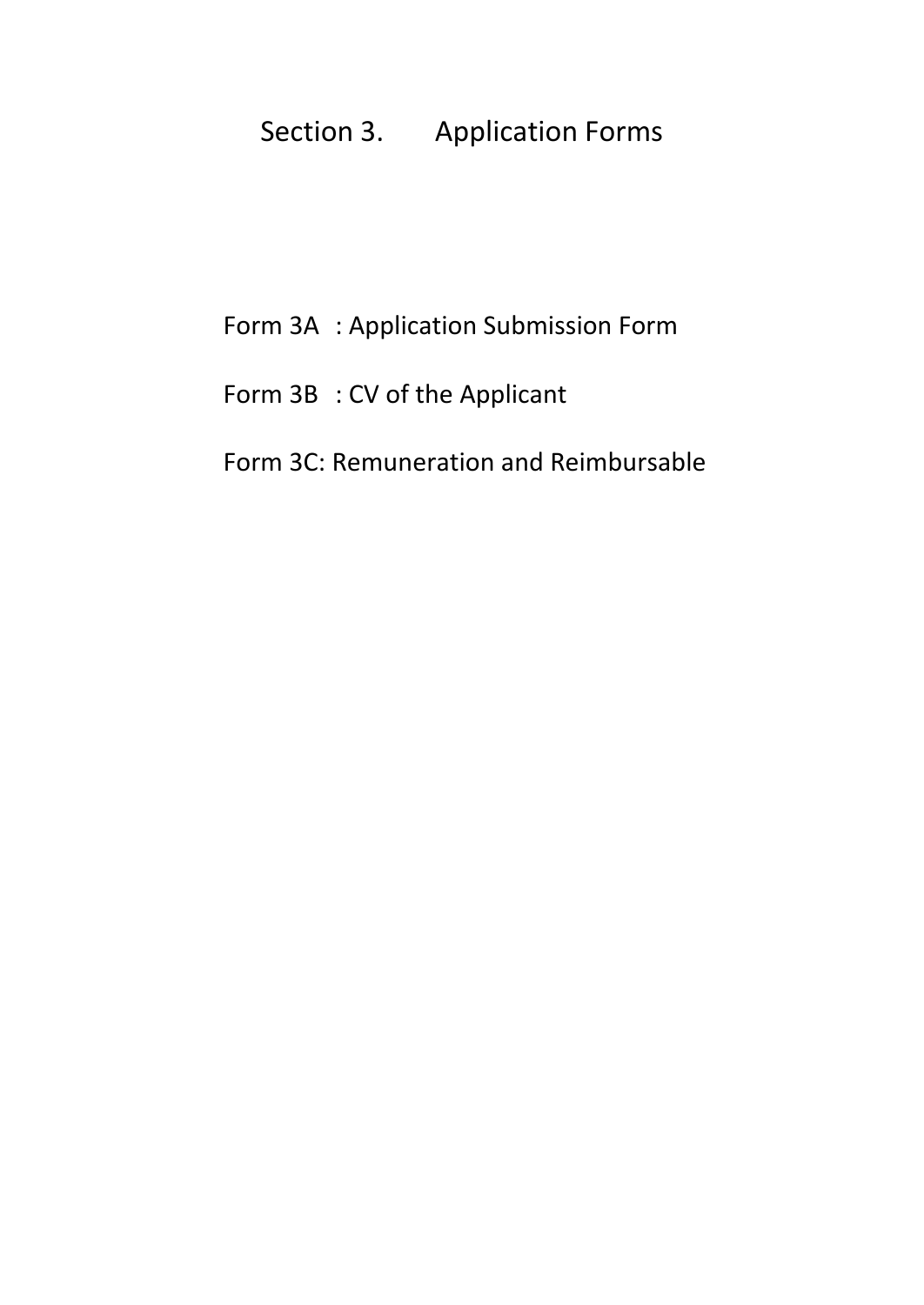# Section 3. Application Forms

# Form 3A : Application Submission Form

Form 3B : CV of the Applicant

# <span id="page-16-0"></span>Form 3C: Remuneration and Reimbursable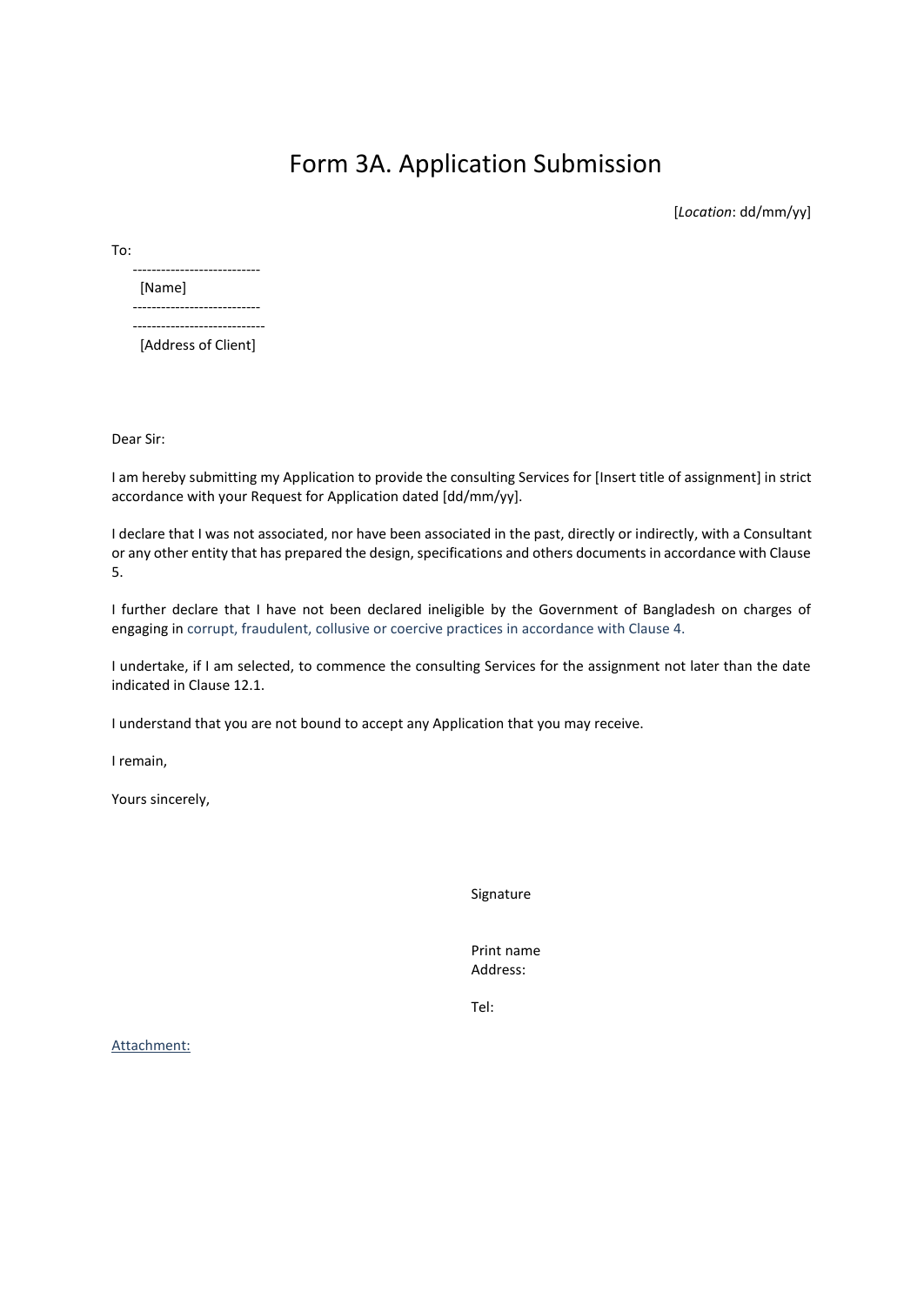## Form 3A. Application Submission

[*Location*: dd/mm/yy]

To:

| [Name] |
|--------|
|        |
|        |

[Address of Client]

Dear Sir:

I am hereby submitting my Application to provide the consulting Services for [Insert title of assignment] in strict accordance with your Request for Application dated [dd/mm/yy].

I declare that I was not associated, nor have been associated in the past, directly or indirectly, with a Consultant or any other entity that has prepared the design, specifications and others documents in accordance with Clause 5.

I further declare that I have not been declared ineligible by the Government of Bangladesh on charges of engaging in corrupt, fraudulent, collusive or coercive practices in accordance with Clause 4.

I undertake, if I am selected, to commence the consulting Services for the assignment not later than the date indicated in Clause 12.1.

I understand that you are not bound to accept any Application that you may receive.

I remain,

Yours sincerely,

Signature

Print name Address:

Tel:

<span id="page-17-0"></span>Attachment: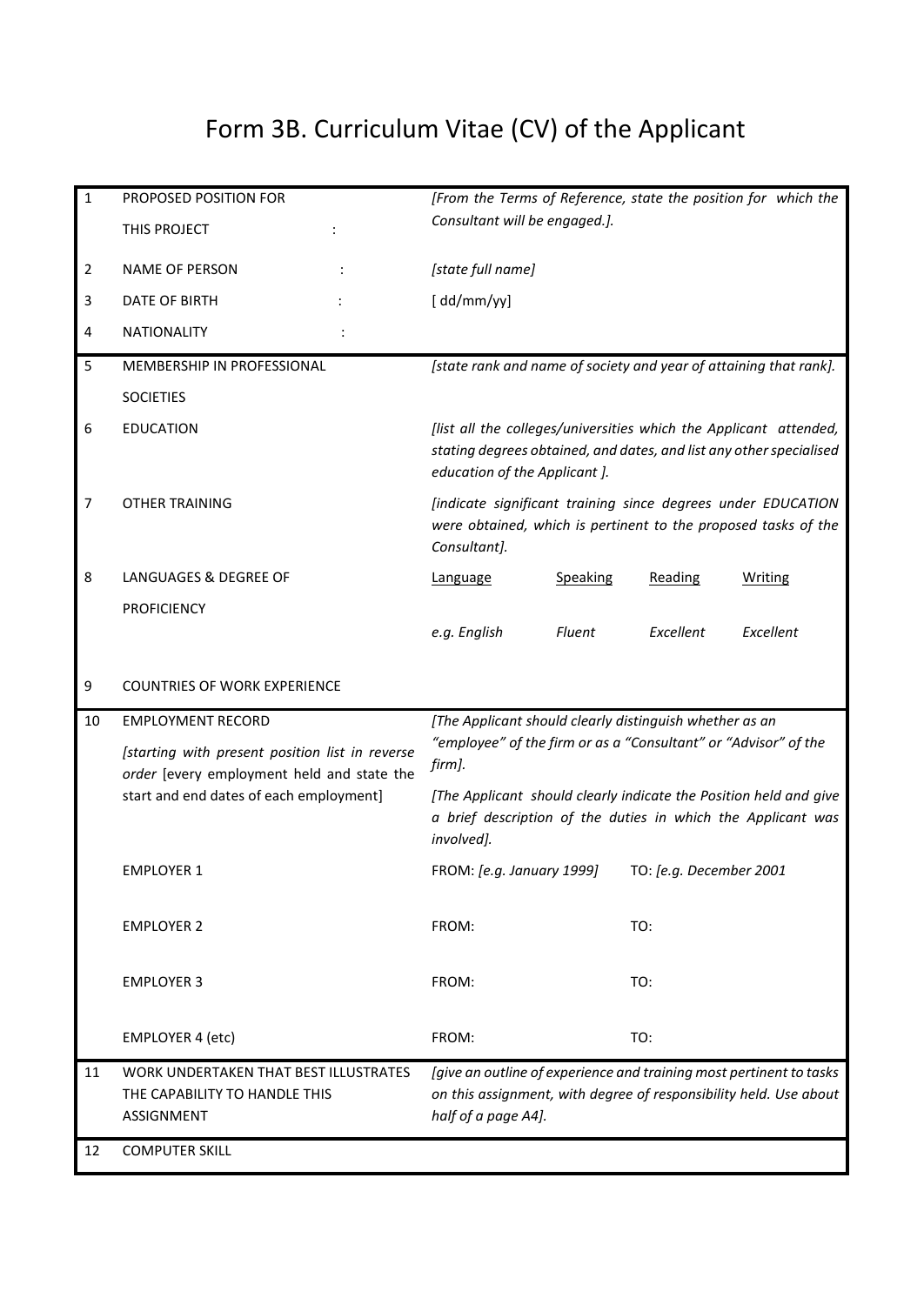# Form 3B. Curriculum Vitae (CV) of the Applicant

<span id="page-18-0"></span>

| $\mathbf{1}$   | PROPOSED POSITION FOR                                                                              | [From the Terms of Reference, state the position for which the                                                                                                            |                           |  |
|----------------|----------------------------------------------------------------------------------------------------|---------------------------------------------------------------------------------------------------------------------------------------------------------------------------|---------------------------|--|
|                | THIS PROJECT                                                                                       | Consultant will be engaged.].                                                                                                                                             |                           |  |
| $\overline{2}$ | NAME OF PERSON                                                                                     | [state full name]                                                                                                                                                         |                           |  |
| 3              | <b>DATE OF BIRTH</b>                                                                               | [dd/mm/yy]                                                                                                                                                                |                           |  |
| 4              | <b>NATIONALITY</b>                                                                                 |                                                                                                                                                                           |                           |  |
| 5              | MEMBERSHIP IN PROFESSIONAL                                                                         | [state rank and name of society and year of attaining that rank].                                                                                                         |                           |  |
|                | <b>SOCIETIES</b>                                                                                   |                                                                                                                                                                           |                           |  |
| 6              | <b>EDUCATION</b>                                                                                   | [list all the colleges/universities which the Applicant attended,<br>stating degrees obtained, and dates, and list any other specialised<br>education of the Applicant ]. |                           |  |
| 7              | <b>OTHER TRAINING</b>                                                                              | [indicate significant training since degrees under EDUCATION<br>were obtained, which is pertinent to the proposed tasks of the<br>Consultant].                            |                           |  |
| 8              | LANGUAGES & DEGREE OF                                                                              | Speaking<br>Language                                                                                                                                                      | Reading<br><b>Writing</b> |  |
|                | <b>PROFICIENCY</b>                                                                                 |                                                                                                                                                                           |                           |  |
|                |                                                                                                    | e.g. English<br><b>Fluent</b>                                                                                                                                             | Excellent<br>Excellent    |  |
|                |                                                                                                    |                                                                                                                                                                           |                           |  |
| 9              | <b>COUNTRIES OF WORK EXPERIENCE</b>                                                                |                                                                                                                                                                           |                           |  |
| 10             | <b>EMPLOYMENT RECORD</b>                                                                           | [The Applicant should clearly distinguish whether as an                                                                                                                   |                           |  |
|                | [starting with present position list in reverse                                                    | "employee" of the firm or as a "Consultant" or "Advisor" of the<br>firm].                                                                                                 |                           |  |
|                | order [every employment held and state the<br>start and end dates of each employment]              | [The Applicant should clearly indicate the Position held and give<br>a brief description of the duties in which the Applicant was<br>involved].                           |                           |  |
|                | <b>EMPLOYER 1</b>                                                                                  | FROM: [e.g. January 1999]                                                                                                                                                 | TO: [e.g. December 2001   |  |
|                | <b>EMPLOYER 2</b>                                                                                  | FROM:<br>TO:                                                                                                                                                              |                           |  |
|                | <b>EMPLOYER 3</b>                                                                                  | FROM:<br>TO:                                                                                                                                                              |                           |  |
|                | EMPLOYER 4 (etc)                                                                                   | TO:<br>FROM:                                                                                                                                                              |                           |  |
| 11             | <b>WORK UNDERTAKEN THAT BEST ILLUSTRATES</b><br>THE CAPABILITY TO HANDLE THIS<br><b>ASSIGNMENT</b> | [give an outline of experience and training most pertinent to tasks<br>on this assignment, with degree of responsibility held. Use about<br>half of a page A4].           |                           |  |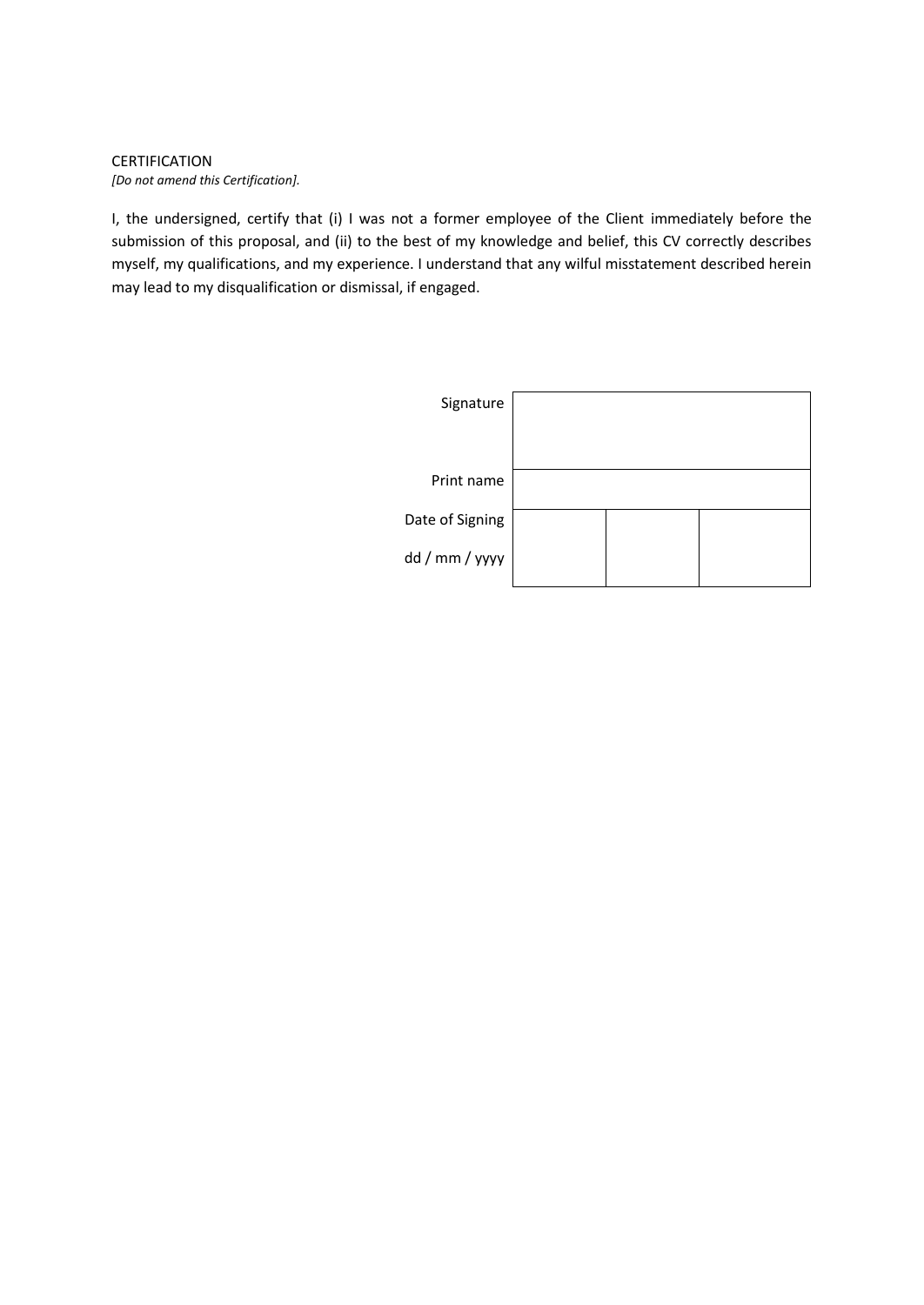#### CERTIFICATION *[Do not amend this Certification].*

I, the undersigned, certify that (i) I was not a former employee of the Client immediately before the submission of this proposal, and (ii) to the best of my knowledge and belief, this CV correctly describes myself, my qualifications, and my experience. I understand that any wilful misstatement described herein may lead to my disqualification or dismissal, if engaged.

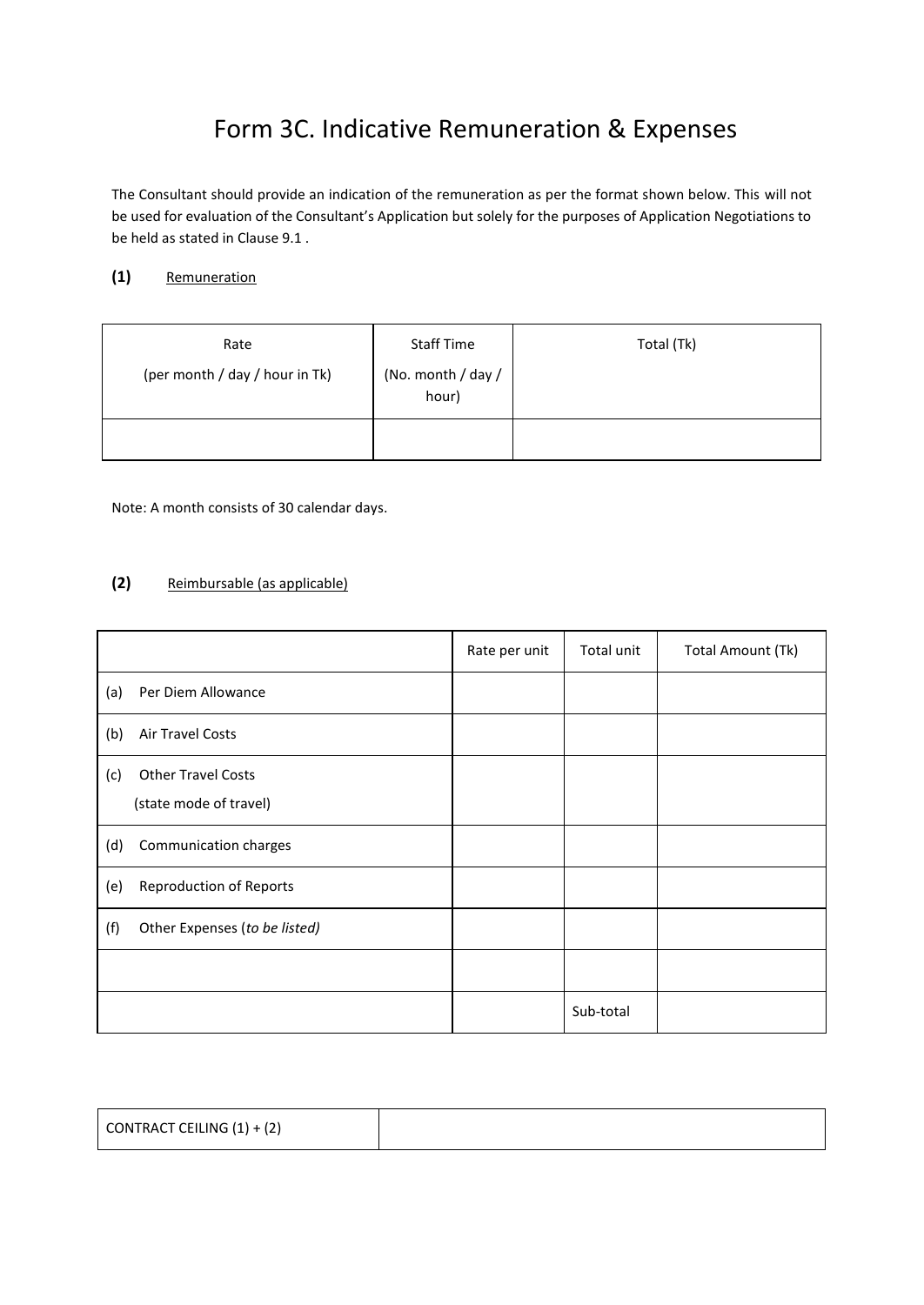# Form 3C. Indicative Remuneration & Expenses

<span id="page-20-0"></span>The Consultant should provide an indication of the remuneration as per the format shown below. This will not be used for evaluation of the Consultant's Application but solely for the purposes of Application Negotiations to be held as stated in Clause 9.1 .

### **(1)** Remuneration

| Rate<br>(per month / day / hour in Tk) | <b>Staff Time</b><br>(No. month / day /<br>hour) | Total (Tk) |  |
|----------------------------------------|--------------------------------------------------|------------|--|
|                                        |                                                  |            |  |

Note: A month consists of 30 calendar days.

### **(2)** Reimbursable (as applicable)

|     |                                                     | Rate per unit | Total unit | Total Amount (Tk) |
|-----|-----------------------------------------------------|---------------|------------|-------------------|
| (a) | Per Diem Allowance                                  |               |            |                   |
| (b) | Air Travel Costs                                    |               |            |                   |
| (c) | <b>Other Travel Costs</b><br>(state mode of travel) |               |            |                   |
| (d) | Communication charges                               |               |            |                   |
| (e) | <b>Reproduction of Reports</b>                      |               |            |                   |
| (f) | Other Expenses (to be listed)                       |               |            |                   |
|     |                                                     |               |            |                   |
|     |                                                     |               | Sub-total  |                   |

| CONTRACT CEILING $(1) + (2)$ |  |
|------------------------------|--|
|                              |  |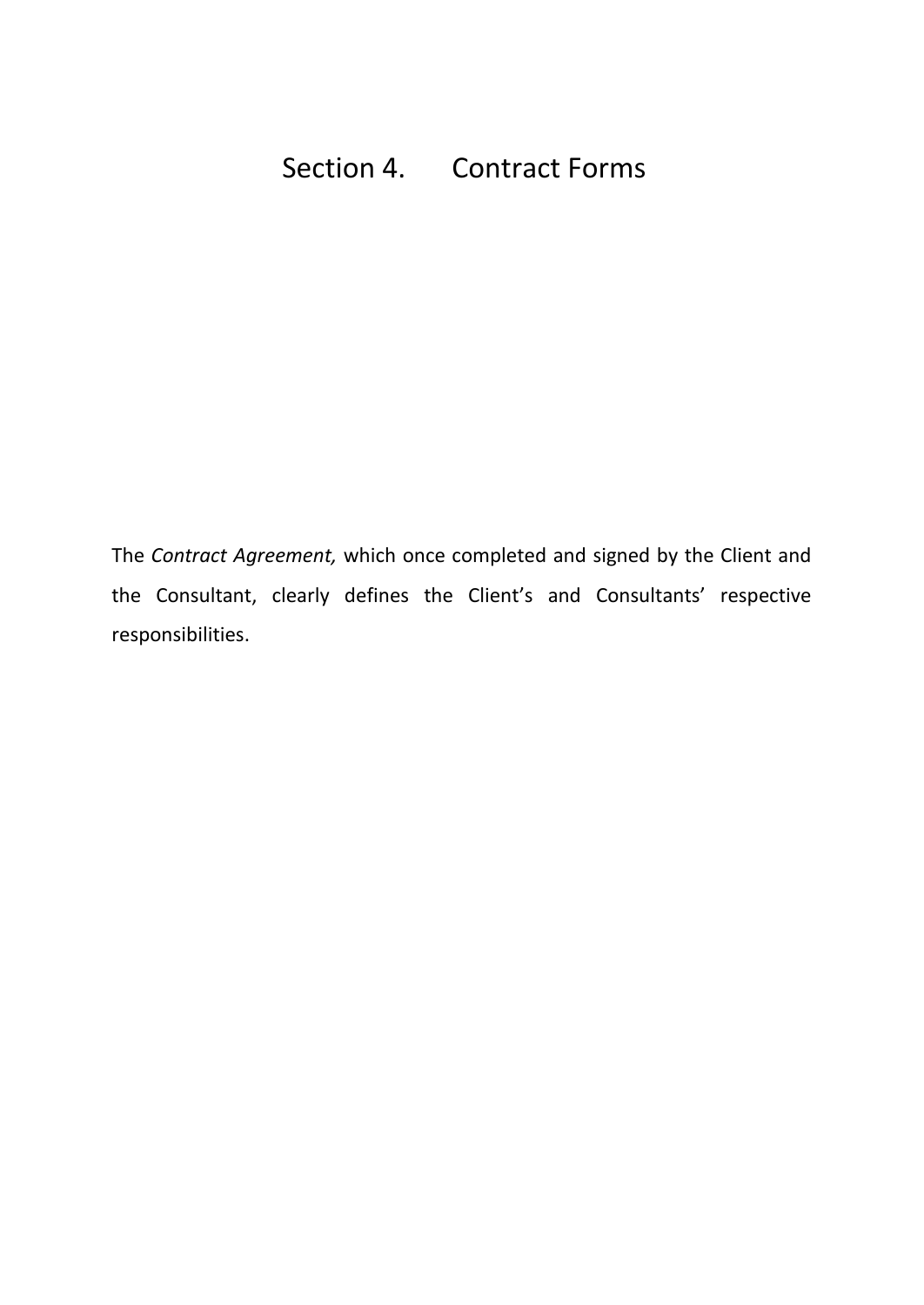<span id="page-21-0"></span>The *Contract Agreement,* which once completed and signed by the Client and the Consultant, clearly defines the Client's and Consultants' respective responsibilities.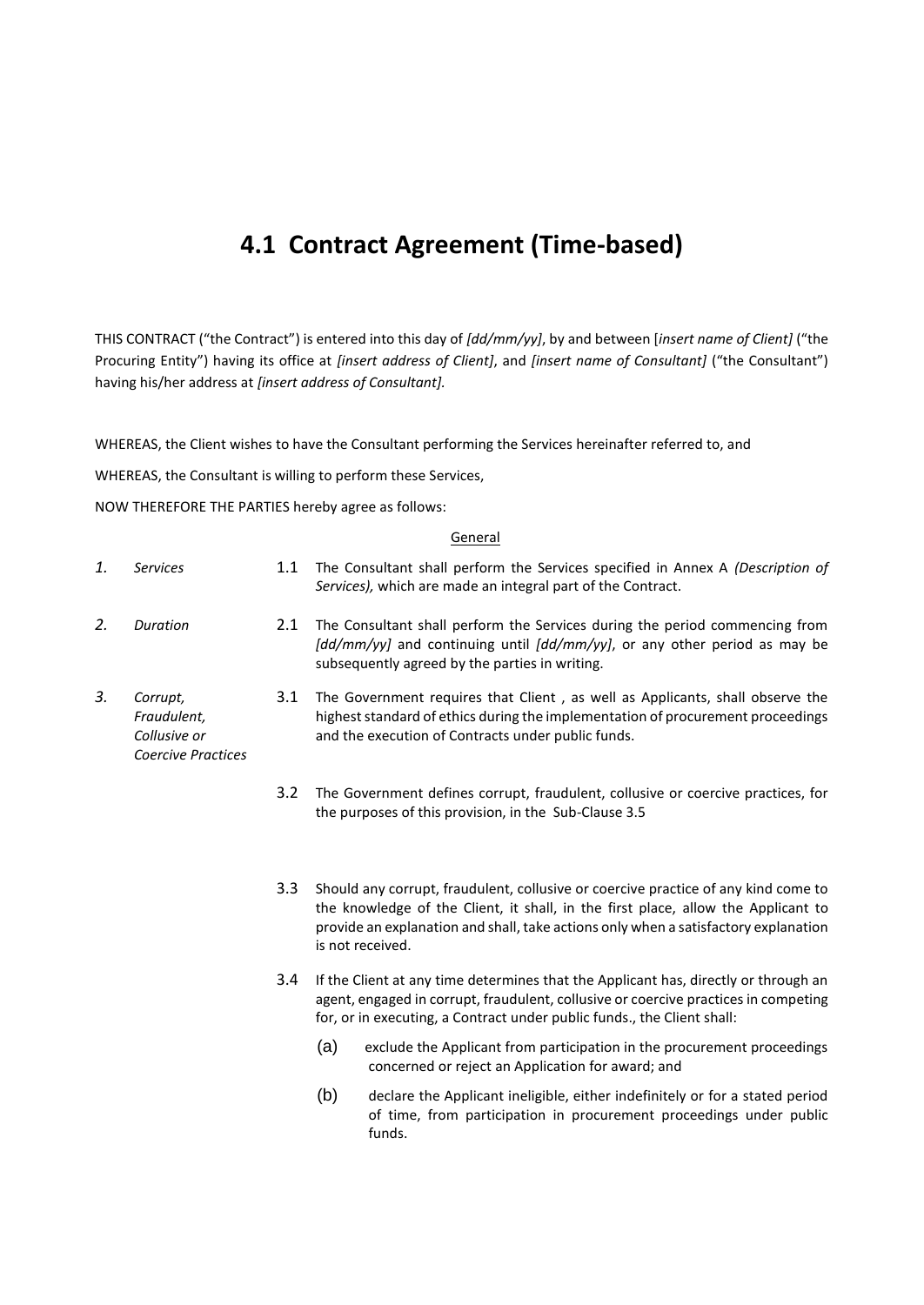## **4.1 Contract Agreement (Time-based)**

THIS CONTRACT ("the Contract") is entered into this day of *[dd/mm/yy]*, by and between [*insert name of Client]* ("the Procuring Entity") having its office at *[insert address of Client]*, and *[insert name of Consultant]* ("the Consultant") having his/her address at *[insert address of Consultant].*

WHEREAS, the Client wishes to have the Consultant performing the Services hereinafter referred to, and

WHEREAS, the Consultant is willing to perform these Services,

NOW THEREFORE THE PARTIES hereby agree as follows:

#### **General**

<span id="page-22-3"></span><span id="page-22-2"></span><span id="page-22-1"></span><span id="page-22-0"></span>

| 1. | <b>Services</b>                                                      | 1.1 | The Consultant shall perform the Services specified in Annex A (Description of<br>Services), which are made an integral part of the Contract.                                                                                                                                      |  |
|----|----------------------------------------------------------------------|-----|------------------------------------------------------------------------------------------------------------------------------------------------------------------------------------------------------------------------------------------------------------------------------------|--|
| 2. | Duration                                                             | 2.1 | The Consultant shall perform the Services during the period commencing from<br>[dd/mm/yy] and continuing until [dd/mm/yy], or any other period as may be<br>subsequently agreed by the parties in writing.                                                                         |  |
| 3. | Corrupt,<br>Fraudulent,<br>Collusive or<br><b>Coercive Practices</b> | 3.1 | The Government requires that Client, as well as Applicants, shall observe the<br>highest standard of ethics during the implementation of procurement proceedings<br>and the execution of Contracts under public funds.                                                             |  |
|    |                                                                      | 3.2 | The Government defines corrupt, fraudulent, collusive or coercive practices, for<br>the purposes of this provision, in the Sub-Clause 3.5                                                                                                                                          |  |
|    |                                                                      | 3.3 | Should any corrupt, fraudulent, collusive or coercive practice of any kind come to<br>the knowledge of the Client, it shall, in the first place, allow the Applicant to<br>provide an explanation and shall, take actions only when a satisfactory explanation<br>is not received. |  |
|    |                                                                      | 3.4 | If the Client at any time determines that the Applicant has, directly or through an<br>agent, engaged in corrupt, fraudulent, collusive or coercive practices in competing<br>for, or in executing, a Contract under public funds., the Client shall:                              |  |
|    |                                                                      |     | (a)<br>exclude the Applicant from participation in the procurement proceedings<br>concerned or reject an Application for award; and                                                                                                                                                |  |
|    |                                                                      |     | (b)<br>declare the Applicant ineligible, either indefinitely or for a stated period<br>of time, from participation in procurement proceedings under public<br>funds.                                                                                                               |  |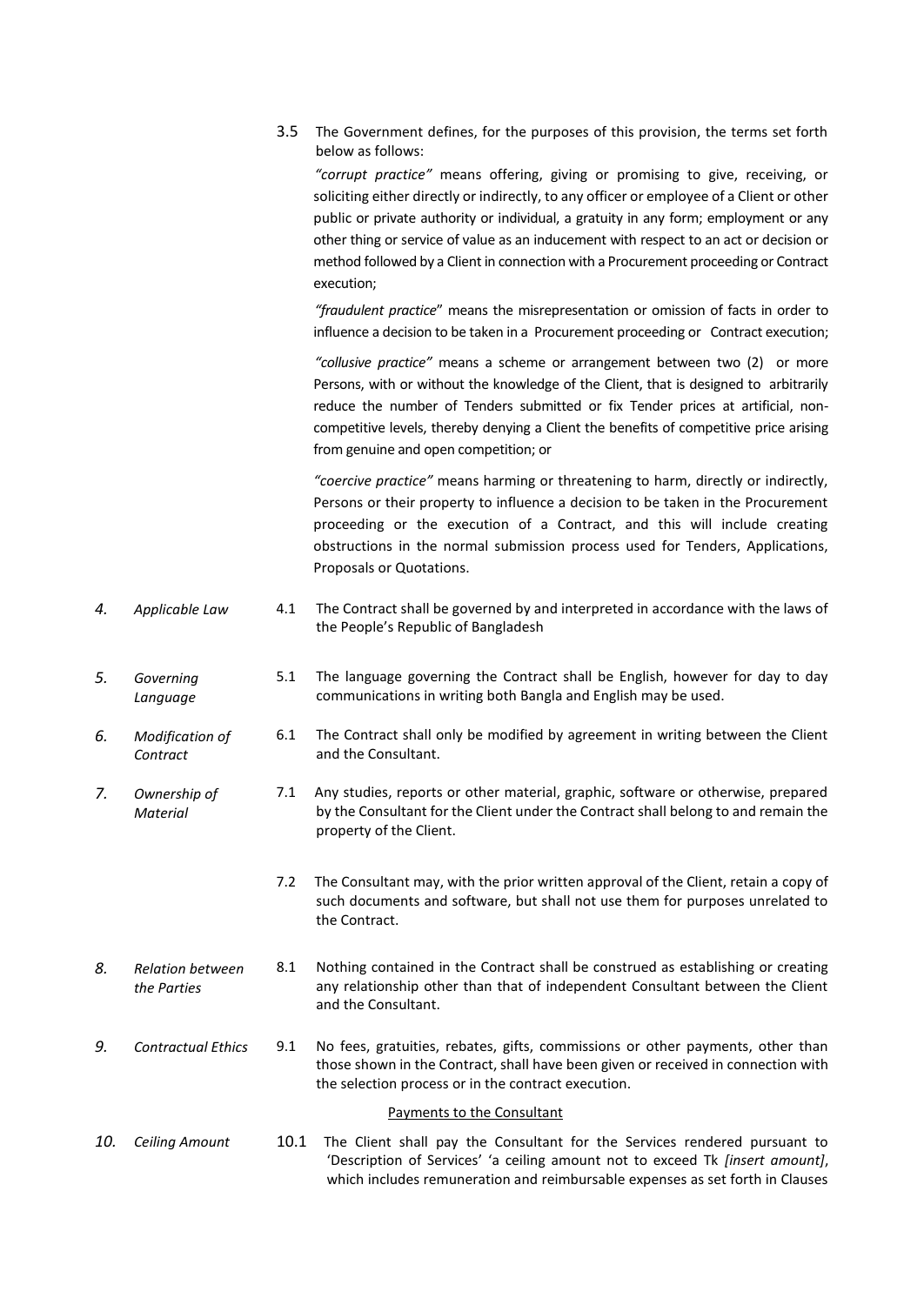3.5 The Government defines, for the purposes of this provision, the terms set forth below as follows:

*"corrupt practice"* means offering, giving or promising to give, receiving, or soliciting either directly or indirectly, to any officer or employee of a Client or other public or private authority or individual, a gratuity in any form; employment or any other thing or service of value as an inducement with respect to an act or decision or method followed by a Client in connection with a Procurement proceeding or Contract execution;

*"fraudulent practice*" means the misrepresentation or omission of facts in order to influence a decision to be taken in a Procurement proceeding or Contract execution;

*"collusive practice"* means a scheme or arrangement between two (2) or more Persons, with or without the knowledge of the Client, that is designed to arbitrarily reduce the number of Tenders submitted or fix Tender prices at artificial, noncompetitive levels, thereby denying a Client the benefits of competitive price arising from genuine and open competition; or

*"coercive practice"* means harming or threatening to harm, directly or indirectly, Persons or their property to influence a decision to be taken in the Procurement proceeding or the execution of a Contract, and this will include creating obstructions in the normal submission process used for Tenders, Applications, Proposals or Quotations.

- <span id="page-23-0"></span>*4. Applicable Law* 4.1 The Contract shall be governed by and interpreted in accordance with the laws of the People's Republic of Bangladesh
- <span id="page-23-1"></span>*5. Governing Language* 5.1 The language governing the Contract shall be English, however for day to day communications in writing both Bangla and English may be used.
- <span id="page-23-2"></span>*6. Modification of Contract* 6.1 The Contract shall only be modified by agreement in writing between the Client and the Consultant.
- <span id="page-23-3"></span>*7. Ownership of Material* 7.1 Any studies, reports or other material, graphic, software or otherwise, prepared by the Consultant for the Client under the Contract shall belong to and remain the property of the Client.
	- 7.2 The Consultant may, with the prior written approval of the Client, retain a copy of such documents and software, but shall not use them for purposes unrelated to the Contract.
- <span id="page-23-4"></span>*8. Relation between the Parties*  8.1 Nothing contained in the Contract shall be construed as establishing or creating any relationship other than that of independent Consultant between the Client and the Consultant.
- <span id="page-23-5"></span>*9. Contractual Ethics* 9.1 No fees, gratuities, rebates, gifts, commissions or other payments, other than those shown in the Contract, shall have been given or received in connection with the selection process or in the contract execution.

#### Payments to the Consultant

<span id="page-23-7"></span><span id="page-23-6"></span>*10. Ceiling Amount* 10.1 The Client shall pay the Consultant for the Services rendered pursuant to 'Description of Services' 'a ceiling amount not to exceed Tk *[insert amount]*, which includes remuneration and reimbursable expenses as set forth in Clauses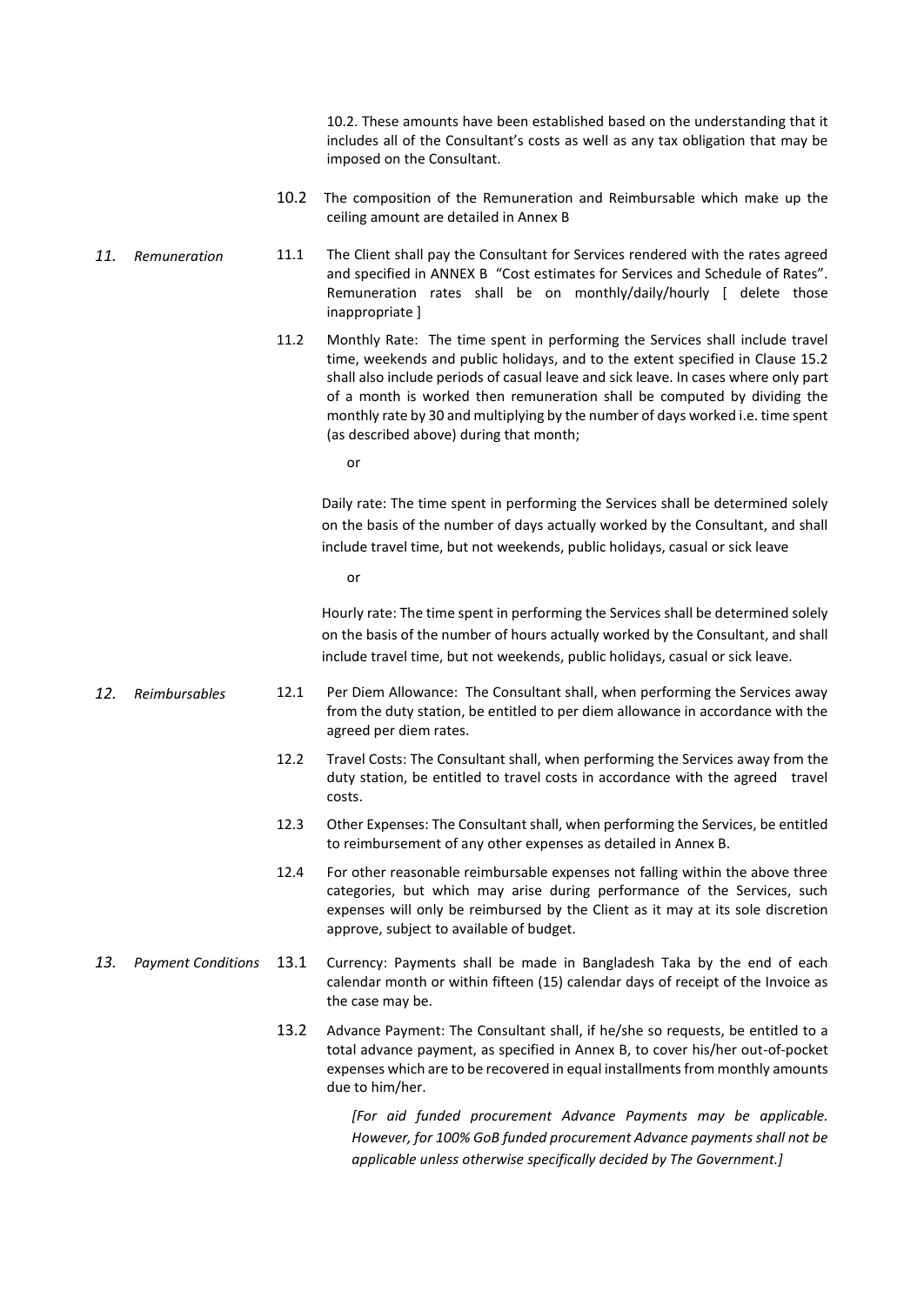10.2. These amounts have been established based on the understanding that it includes all of the Consultant's costs as well as any tax obligation that may be imposed on the Consultant.

- 10.2 The composition of the Remuneration and Reimbursable which make up the ceiling amount are detailed in Annex B
- <span id="page-24-0"></span>*11. Remuneration* 11.1 The Client shall pay the Consultant for Services rendered with the rates agreed and specified in ANNEX B "Cost estimates for Services and Schedule of Rates". Remuneration rates shall be on monthly/daily/hourly [ delete those inappropriate ]
	- 11.2 Monthly Rate: The time spent in performing the Services shall include travel time, weekends and public holidays, and to the extent specified in Clause 15.2 shall also include periods of casual leave and sick leave. In cases where only part of a month is worked then remuneration shall be computed by dividing the monthly rate by 30 and multiplying by the number of days worked i.e. time spent (as described above) during that month;
		- or

Daily rate: The time spent in performing the Services shall be determined solely on the basis of the number of days actually worked by the Consultant, and shall include travel time, but not weekends, public holidays, casual or sick leave

or

Hourly rate: The time spent in performing the Services shall be determined solely on the basis of the number of hours actually worked by the Consultant, and shall include travel time, but not weekends, public holidays, casual or sick leave.

- <span id="page-24-1"></span>*12. Reimbursables* 12.1 Per Diem Allowance: The Consultant shall, when performing the Services away from the duty station, be entitled to per diem allowance in accordance with the agreed per diem rates.
	- 12.2 Travel Costs: The Consultant shall, when performing the Services away from the duty station, be entitled to travel costs in accordance with the agreed travel costs.
	- 12.3 Other Expenses: The Consultant shall, when performing the Services, be entitled to reimbursement of any other expenses as detailed in Annex B.
	- 12.4 For other reasonable reimbursable expenses not falling within the above three categories, but which may arise during performance of the Services, such expenses will only be reimbursed by the Client as it may at its sole discretion approve, subject to available of budget.
- <span id="page-24-2"></span>*13. Payment Conditions* 13.1 Currency: Payments shall be made in Bangladesh Taka by the end of each calendar month or within fifteen (15) calendar days of receipt of the Invoice as the case may be.
	- 13.2 Advance Payment: The Consultant shall, if he/she so requests, be entitled to a total advance payment, as specified in Annex B, to cover his/her out-of-pocket expenses which are to be recovered in equal installments from monthly amounts due to him/her.

*[For aid funded procurement Advance Payments may be applicable. However, for 100% GoB funded procurement Advance payments shall not be applicable unless otherwise specifically decided by The Government.]*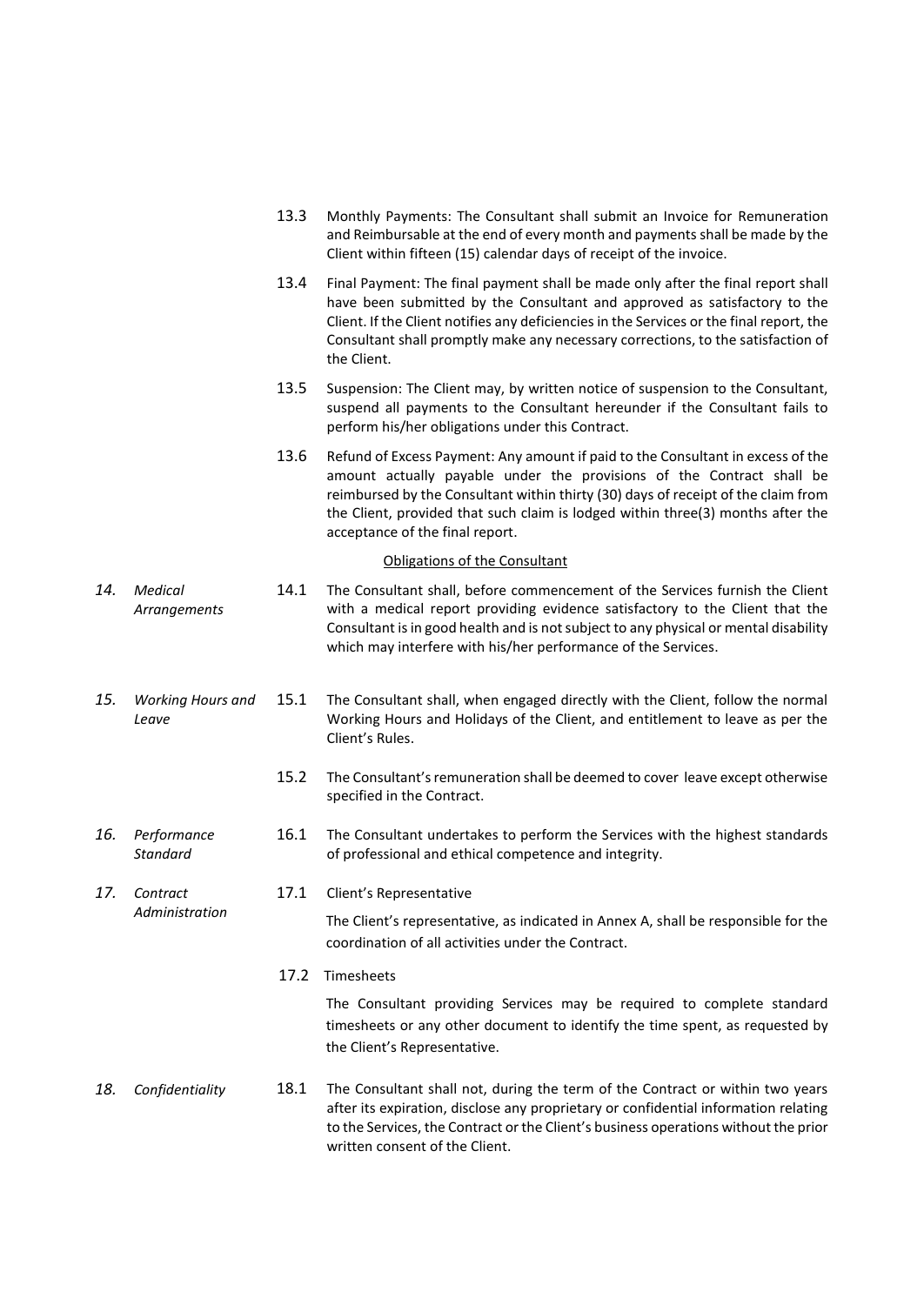<span id="page-25-5"></span><span id="page-25-4"></span><span id="page-25-3"></span><span id="page-25-2"></span><span id="page-25-1"></span><span id="page-25-0"></span>

|  |     |                                   | 13.3 | Monthly Payments: The Consultant shall submit an Invoice for Remuneration<br>and Reimbursable at the end of every month and payments shall be made by the<br>Client within fifteen (15) calendar days of receipt of the invoice.                                                                                                                                    |
|--|-----|-----------------------------------|------|---------------------------------------------------------------------------------------------------------------------------------------------------------------------------------------------------------------------------------------------------------------------------------------------------------------------------------------------------------------------|
|  |     |                                   | 13.4 | Final Payment: The final payment shall be made only after the final report shall<br>have been submitted by the Consultant and approved as satisfactory to the<br>Client. If the Client notifies any deficiencies in the Services or the final report, the<br>Consultant shall promptly make any necessary corrections, to the satisfaction of<br>the Client.        |
|  |     |                                   | 13.5 | Suspension: The Client may, by written notice of suspension to the Consultant,<br>suspend all payments to the Consultant hereunder if the Consultant fails to<br>perform his/her obligations under this Contract.                                                                                                                                                   |
|  |     |                                   | 13.6 | Refund of Excess Payment: Any amount if paid to the Consultant in excess of the<br>amount actually payable under the provisions of the Contract shall be<br>reimbursed by the Consultant within thirty (30) days of receipt of the claim from<br>the Client, provided that such claim is lodged within three(3) months after the<br>acceptance of the final report. |
|  |     |                                   |      | Obligations of the Consultant                                                                                                                                                                                                                                                                                                                                       |
|  | 14. | Medical<br>Arrangements           | 14.1 | The Consultant shall, before commencement of the Services furnish the Client<br>with a medical report providing evidence satisfactory to the Client that the<br>Consultant is in good health and is not subject to any physical or mental disability<br>which may interfere with his/her performance of the Services.                                               |
|  | 15. | <b>Working Hours and</b><br>Leave | 15.1 | The Consultant shall, when engaged directly with the Client, follow the normal<br>Working Hours and Holidays of the Client, and entitlement to leave as per the<br>Client's Rules.                                                                                                                                                                                  |
|  |     |                                   | 15.2 | The Consultant's remuneration shall be deemed to cover leave except otherwise<br>specified in the Contract.                                                                                                                                                                                                                                                         |
|  | 16. | Performance<br><b>Standard</b>    | 16.1 | The Consultant undertakes to perform the Services with the highest standards<br>of professional and ethical competence and integrity.                                                                                                                                                                                                                               |
|  | 17. | Contract                          | 17.1 | Client's Representative                                                                                                                                                                                                                                                                                                                                             |
|  |     | Administration                    |      | The Client's representative, as indicated in Annex A, shall be responsible for the<br>coordination of all activities under the Contract.                                                                                                                                                                                                                            |
|  |     |                                   | 17.2 | Timesheets                                                                                                                                                                                                                                                                                                                                                          |
|  |     |                                   |      | The Consultant providing Services may be required to complete standard<br>timesheets or any other document to identify the time spent, as requested by<br>the Client's Representative.                                                                                                                                                                              |
|  | 18. | Confidentiality                   | 18.1 | The Consultant shall not, during the term of the Contract or within two years<br>after its expiration, disclose any proprietary or confidential information relating<br>to the Services, the Contract or the Client's business operations without the prior<br>written consent of the Client.                                                                       |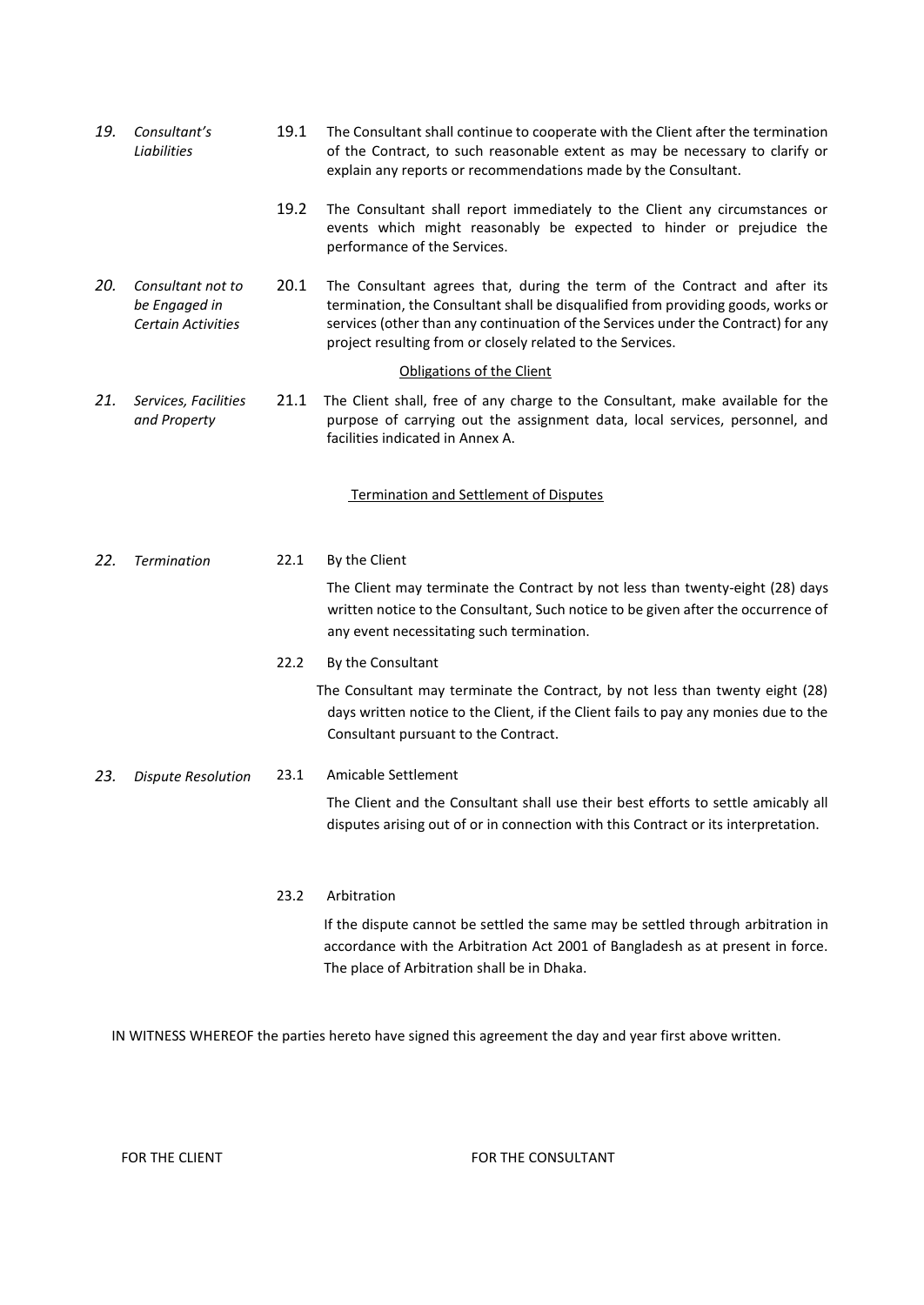<span id="page-26-5"></span><span id="page-26-4"></span><span id="page-26-3"></span><span id="page-26-2"></span><span id="page-26-1"></span><span id="page-26-0"></span>

| 19.                       | Consultant's<br>Liabilities                                     | 19.1 | The Consultant shall continue to cooperate with the Client after the termination<br>of the Contract, to such reasonable extent as may be necessary to clarify or<br>explain any reports or recommendations made by the Consultant.                                                                               |  |  |
|---------------------------|-----------------------------------------------------------------|------|------------------------------------------------------------------------------------------------------------------------------------------------------------------------------------------------------------------------------------------------------------------------------------------------------------------|--|--|
|                           |                                                                 | 19.2 | The Consultant shall report immediately to the Client any circumstances or<br>events which might reasonably be expected to hinder or prejudice the<br>performance of the Services.                                                                                                                               |  |  |
| 20.                       | Consultant not to<br>be Engaged in<br><b>Certain Activities</b> | 20.1 | The Consultant agrees that, during the term of the Contract and after its<br>termination, the Consultant shall be disqualified from providing goods, works or<br>services (other than any continuation of the Services under the Contract) for any<br>project resulting from or closely related to the Services. |  |  |
| Obligations of the Client |                                                                 |      |                                                                                                                                                                                                                                                                                                                  |  |  |
| 21.                       | Services, Facilities<br>and Property                            | 21.1 | The Client shall, free of any charge to the Consultant, make available for the<br>purpose of carrying out the assignment data, local services, personnel, and<br>facilities indicated in Annex A.                                                                                                                |  |  |
|                           |                                                                 |      | Termination and Settlement of Disputes                                                                                                                                                                                                                                                                           |  |  |
| 22.                       | <b>Termination</b>                                              | 22.1 | By the Client                                                                                                                                                                                                                                                                                                    |  |  |
|                           |                                                                 |      | The Client may terminate the Contract by not less than twenty-eight (28) days<br>written notice to the Consultant, Such notice to be given after the occurrence of<br>any event necessitating such termination.                                                                                                  |  |  |
|                           |                                                                 | 22.2 | By the Consultant                                                                                                                                                                                                                                                                                                |  |  |
|                           |                                                                 |      | The Consultant may terminate the Contract, by not less than twenty eight (28)<br>days written notice to the Client, if the Client fails to pay any monies due to the<br>Consultant pursuant to the Contract.                                                                                                     |  |  |
| 23.                       | <b>Dispute Resolution</b>                                       | 23.1 | Amicable Settlement                                                                                                                                                                                                                                                                                              |  |  |
|                           |                                                                 |      | The Client and the Consultant shall use their best efforts to settle amicably all<br>disputes arising out of or in connection with this Contract or its interpretation.                                                                                                                                          |  |  |
|                           |                                                                 | 23.2 | Arbitration                                                                                                                                                                                                                                                                                                      |  |  |
|                           |                                                                 |      | If the dispute cannot be settled the same may be settled through arbitration in<br>accordance with the Arbitration Act 2001 of Bangladesh as at present in force.                                                                                                                                                |  |  |

<span id="page-26-6"></span>IN WITNESS WHEREOF the parties hereto have signed this agreement the day and year first above written.

The place of Arbitration shall be in Dhaka.

### FOR THE CLIENT **FOR THE CONSULTANT**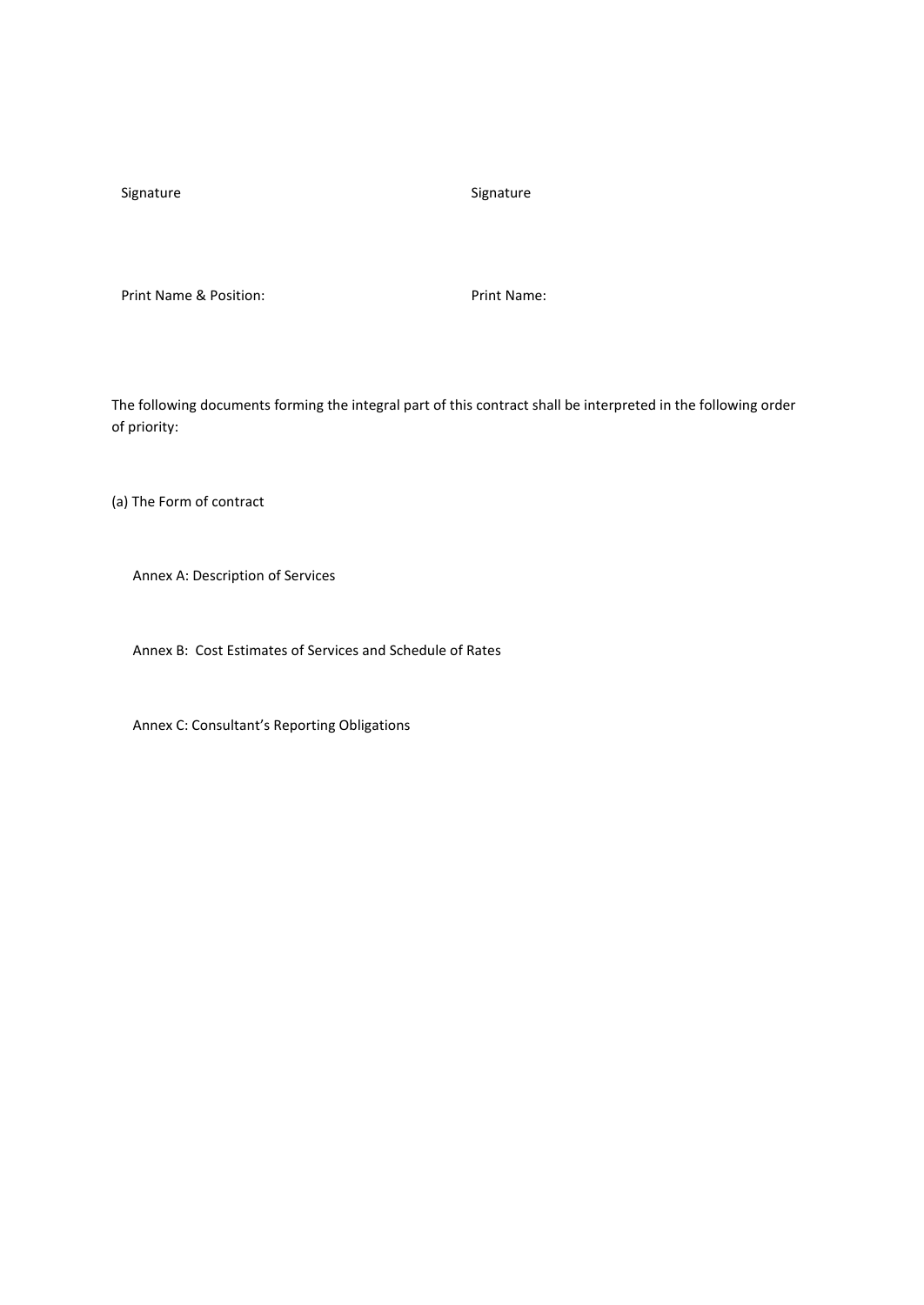Signature Signature Signature Signature

Print Name & Position: Print Name:

The following documents forming the integral part of this contract shall be interpreted in the following order of priority:

(a) The Form of contract

Annex A: Description of Services

Annex B: Cost Estimates of Services and Schedule of Rates

Annex C: Consultant's Reporting Obligations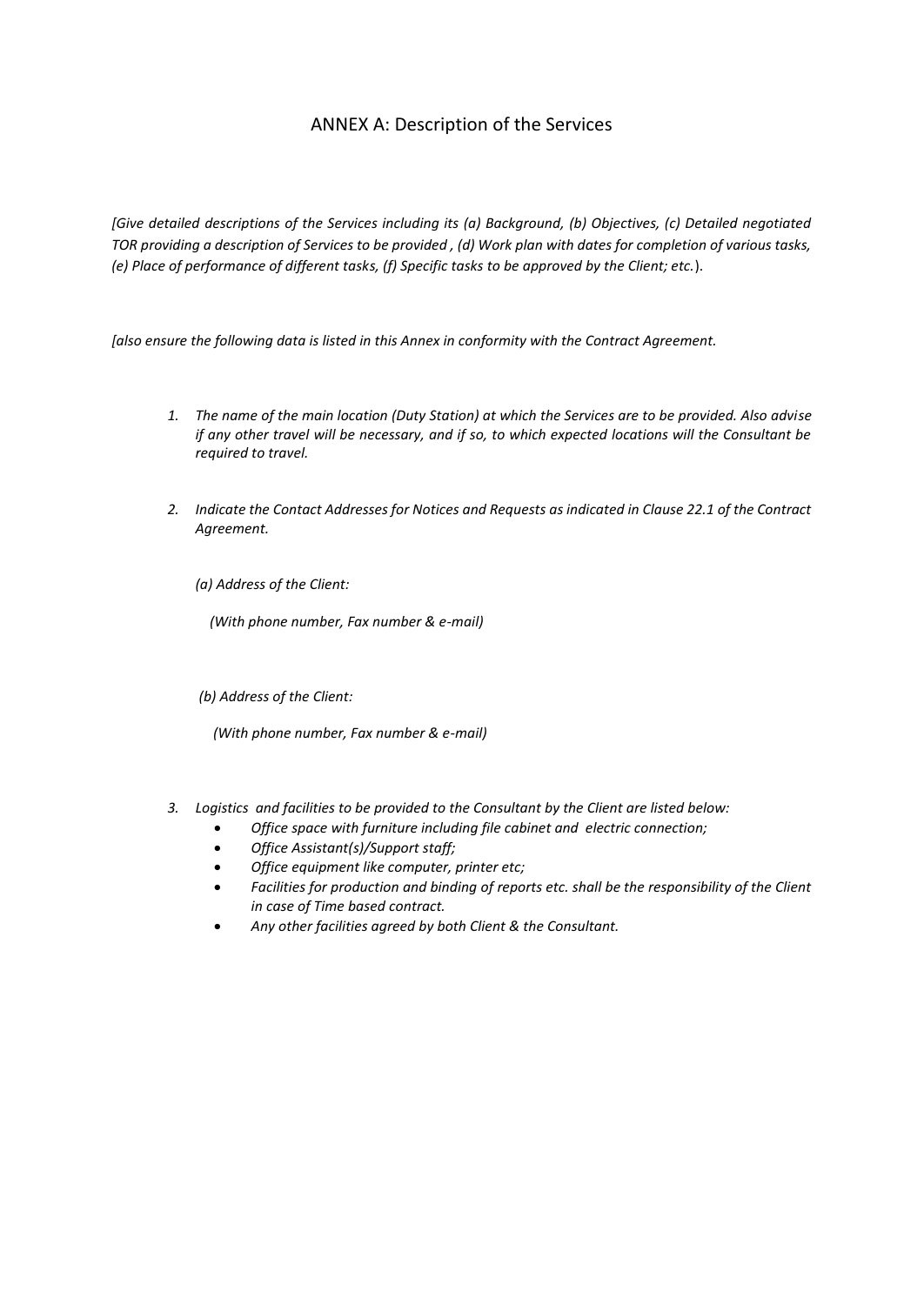### ANNEX A: Description of the Services

<span id="page-28-0"></span>*[Give detailed descriptions of the Services including its (a) Background, (b) Objectives, (c) Detailed negotiated TOR providing a description of Services to be provided , (d) Work plan with dates for completion of various tasks, (e) Place of performance of different tasks, (f) Specific tasks to be approved by the Client; etc.*).

*[also ensure the following data is listed in this Annex in conformity with the Contract Agreement.*

- *1. The name of the main location (Duty Station) at which the Services are to be provided. Also advise if any other travel will be necessary, and if so, to which expected locations will the Consultant be required to travel.*
- *2. Indicate the Contact Addresses for Notices and Requests as indicated in Clause 22.1 of the Contract Agreement.*

*(a) Address of the Client:*

 *(With phone number, Fax number & e-mail)*

*(b) Address of the Client:*

 *(With phone number, Fax number & e-mail)*

- *3. Logistics and facilities to be provided to the Consultant by the Client are listed below:*
	- *Office space with furniture including file cabinet and electric connection;*
	- *Office Assistant(s)/Support staff;*
	- *Office equipment like computer, printer etc;*
	- *Facilities for production and binding of reports etc. shall be the responsibility of the Client in case of Time based contract.*
	- *Any other facilities agreed by both Client & the Consultant.*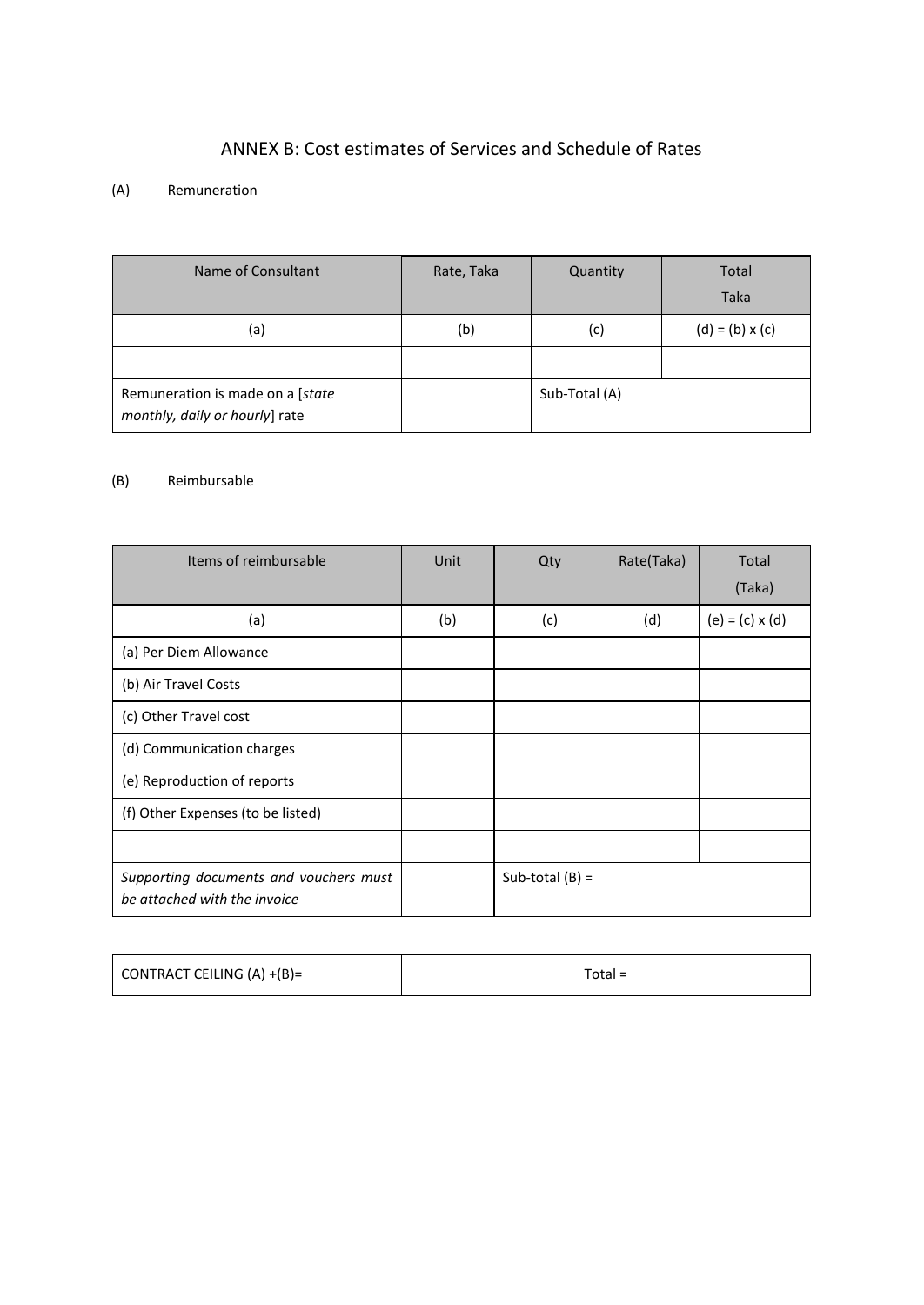### ANNEX B: Cost estimates of Services and Schedule of Rates

### <span id="page-29-0"></span>(A) Remuneration

| Name of Consultant                                                 | Rate, Taka | Quantity      | Total<br><b>Taka</b>   |
|--------------------------------------------------------------------|------------|---------------|------------------------|
| (a)                                                                | (b)        | (c)           | $(d) = (b) \times (c)$ |
|                                                                    |            |               |                        |
| Remuneration is made on a [state<br>monthly, daily or hourly] rate |            | Sub-Total (A) |                        |

### (B) Reimbursable

| Items of reimbursable                                                  | Unit | Qty               | Rate(Taka) | Total                  |
|------------------------------------------------------------------------|------|-------------------|------------|------------------------|
|                                                                        |      |                   |            | (Taka)                 |
| (a)                                                                    | (b)  | (c)               | (d)        | $(e) = (c) \times (d)$ |
| (a) Per Diem Allowance                                                 |      |                   |            |                        |
| (b) Air Travel Costs                                                   |      |                   |            |                        |
| (c) Other Travel cost                                                  |      |                   |            |                        |
| (d) Communication charges                                              |      |                   |            |                        |
| (e) Reproduction of reports                                            |      |                   |            |                        |
| (f) Other Expenses (to be listed)                                      |      |                   |            |                        |
|                                                                        |      |                   |            |                        |
| Supporting documents and vouchers must<br>be attached with the invoice |      | Sub-total $(B) =$ |            |                        |

| CONTRACT CEILING $(A) + (B) =$ | $Total =$ |
|--------------------------------|-----------|
|--------------------------------|-----------|